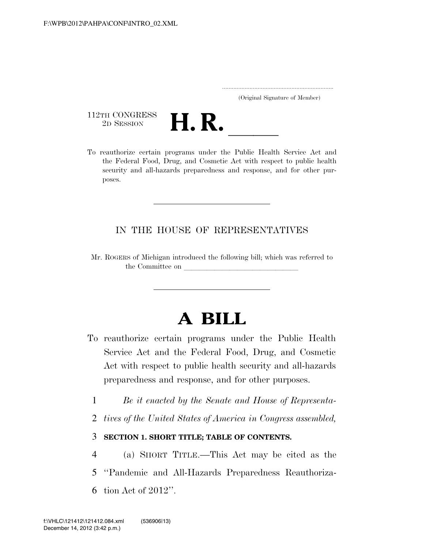..................................................................... (Original Signature of Member)

112TH CONGRESS<br>2D SESSION



TER 2D SESSION **H. R. CONGRESS** To reauthorize certain programs under the Public Health Service Act and the Federal Food, Drug, and Cosmetic Act with respect to public health security and all-hazards preparedness and response, and for other purposes.

# IN THE HOUSE OF REPRESENTATIVES

Mr. ROGERS of Michigan introduced the following bill; which was referred to the Committee on

# **A BILL**

- To reauthorize certain programs under the Public Health Service Act and the Federal Food, Drug, and Cosmetic Act with respect to public health security and all-hazards preparedness and response, and for other purposes.
	- 1 *Be it enacted by the Senate and House of Representa-*
	- 2 *tives of the United States of America in Congress assembled,*

# 3 **SECTION 1. SHORT TITLE; TABLE OF CONTENTS.**

- 4 (a) SHORT TITLE.—This Act may be cited as the
- 5 ''Pandemic and All-Hazards Preparedness Reauthoriza-
- 6 tion Act of 2012''.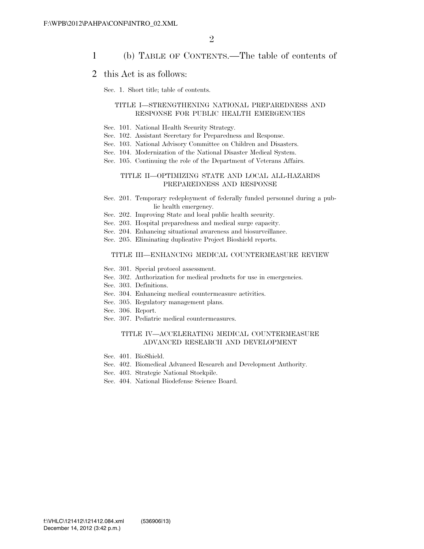### 1 (b) TABLE OF CONTENTS.—The table of contents of

### 2 this Act is as follows:

Sec. 1. Short title; table of contents.

#### TITLE I—STRENGTHENING NATIONAL PREPAREDNESS AND RESPONSE FOR PUBLIC HEALTH EMERGENCIES

- Sec. 101. National Health Security Strategy.
- Sec. 102. Assistant Secretary for Preparedness and Response.
- Sec. 103. National Advisory Committee on Children and Disasters.
- Sec. 104. Modernization of the National Disaster Medical System.
- Sec. 105. Continuing the role of the Department of Veterans Affairs.

#### TITLE II—OPTIMIZING STATE AND LOCAL ALL-HAZARDS PREPAREDNESS AND RESPONSE

- Sec. 201. Temporary redeployment of federally funded personnel during a public health emergency.
- Sec. 202. Improving State and local public health security.
- Sec. 203. Hospital preparedness and medical surge capacity.
- Sec. 204. Enhancing situational awareness and biosurveillance.
- Sec. 205. Eliminating duplicative Project Bioshield reports.

#### TITLE III—ENHANCING MEDICAL COUNTERMEASURE REVIEW

- Sec. 301. Special protocol assessment.
- Sec. 302. Authorization for medical products for use in emergencies.
- Sec. 303. Definitions.
- Sec. 304. Enhancing medical countermeasure activities.
- Sec. 305. Regulatory management plans.
- Sec. 306. Report.
- Sec. 307. Pediatric medical countermeasures.

#### TITLE IV—ACCELERATING MEDICAL COUNTERMEASURE ADVANCED RESEARCH AND DEVELOPMENT

- Sec. 401. BioShield.
- Sec. 402. Biomedical Advanced Research and Development Authority.
- Sec. 403. Strategic National Stockpile.
- Sec. 404. National Biodefense Science Board.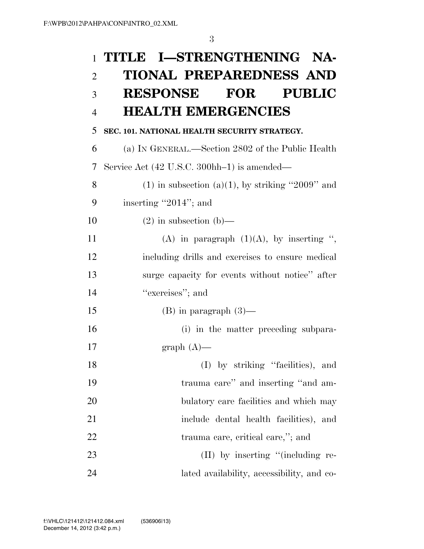|                | 1 TITLE I—STRENGTHENING NA-                           |
|----------------|-------------------------------------------------------|
| $\overline{2}$ | <b>TIONAL PREPAREDNESS AND</b>                        |
| 3              | RESPONSE FOR<br><b>PUBLIC</b>                         |
| $\overline{4}$ | <b>HEALTH EMERGENCIES</b>                             |
| 5              | SEC. 101. NATIONAL HEALTH SECURITY STRATEGY.          |
| 6              | (a) IN GENERAL.—Section 2802 of the Public Health     |
| 7              | Service Act (42 U.S.C. 300hh-1) is amended—           |
| 8              | $(1)$ in subsection $(a)(1)$ , by striking "2009" and |
| 9              | inserting "2014"; and                                 |
| 10             | $(2)$ in subsection $(b)$ —                           |
| 11             | (A) in paragraph $(1)(A)$ , by inserting ",           |
| 12             | including drills and exercises to ensure medical      |
| 13             | surge capacity for events without notice" after       |
| 14             | "exercises"; and                                      |
| 15             | $(B)$ in paragraph $(3)$ —                            |
| 16             | (i) in the matter preceding subpara-                  |
| 17             | $graph (A)$ —                                         |
| 18             | (I) by striking "facilities), and                     |
| 19             | trauma care" and inserting "and am-                   |
| 20             | bulatory care facilities and which may                |
| 21             | include dental health facilities), and                |
| <u>22</u>      | trauma care, critical care,"; and                     |
| 23             | $(II)$ by inserting "(including re-                   |
| 24             | lated availability, accessibility, and co-            |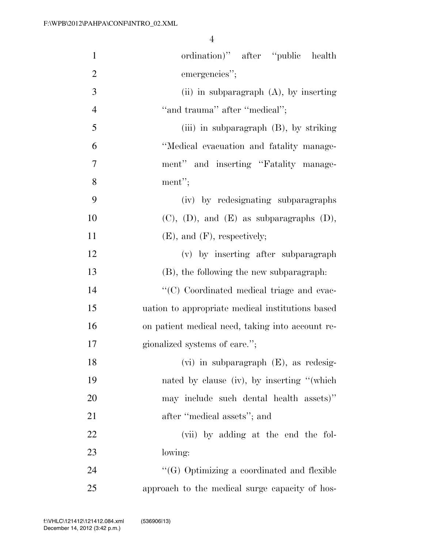| $\mathbf{1}$   | ordination)" after "public health                  |
|----------------|----------------------------------------------------|
| $\overline{2}$ | emergencies";                                      |
| 3              | (ii) in subparagraph $(A)$ , by inserting          |
| $\overline{4}$ | "and trauma" after "medical";                      |
| 5              | (iii) in subparagraph (B), by striking             |
| 6              | "Medical evacuation and fatality manage-           |
| $\overline{7}$ | ment" and inserting "Fatality manage-              |
| 8              | ment";                                             |
| 9              | (iv) by redesignating subparagraphs                |
| 10             | $(C)$ , $(D)$ , and $(E)$ as subparagraphs $(D)$ , |
| 11             | $(E)$ , and $(F)$ , respectively;                  |
| 12             | (v) by inserting after subparagraph                |
| 13             | (B), the following the new subparagraph:           |
| 14             | "(C) Coordinated medical triage and evac-          |
| 15             | uation to appropriate medical institutions based   |
| 16             | on patient medical need, taking into account re-   |
| 17             | gionalized systems of care.";                      |
| 18             | $(vi)$ in subparagraph $(E)$ , as redesig-         |
| 19             | nated by clause (iv), by inserting "(which         |
| 20             | may include such dental health assets)"            |
| 21             | after "medical assets"; and                        |
| 22             | (vii) by adding at the end the fol-                |
| 23             | lowing:                                            |
| 24             | "(G) Optimizing a coordinated and flexible         |
| 25             | approach to the medical surge capacity of hos-     |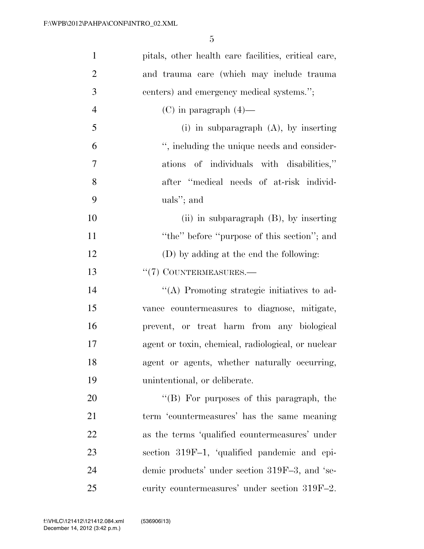| $\mathbf{1}$   | pitals, other health care facilities, critical care, |
|----------------|------------------------------------------------------|
| $\overline{2}$ | and trauma care (which may include trauma            |
| 3              | centers) and emergency medical systems.";            |
| $\overline{4}$ | $(C)$ in paragraph $(4)$ —                           |
| 5              | $(i)$ in subparagraph $(A)$ , by inserting           |
| 6              | ", including the unique needs and consider-          |
| $\tau$         | ations of individuals with disabilities,"            |
| 8              | after "medical needs of at-risk individ-             |
| 9              | uals"; and                                           |
| 10             | (ii) in subparagraph $(B)$ , by inserting            |
| 11             | "the" before "purpose of this section"; and          |
| 12             | (D) by adding at the end the following:              |
| 13             | $``(7)$ COUNTERMEASURES.—                            |
| 14             | "(A) Promoting strategic initiatives to ad-          |
| 15             | vance countermeasures to diagnose, mitigate,         |
| 16             | prevent, or treat harm from any biological           |
| 17             | agent or toxin, chemical, radiological, or nuclear   |
| 18             | agent or agents, whether naturally occurring,        |
| 19             | unintentional, or deliberate.                        |
| 20             | "(B) For purposes of this paragraph, the             |
| 21             | term 'countermeasures' has the same meaning          |
| 22             | as the terms 'qualified countermeasures' under       |
| 23             | section 319F-1, 'qualified pandemic and epi-         |
| 24             | demic products' under section 319F-3, and 'se-       |
| 25             | curity countermeasures' under section 319F-2.        |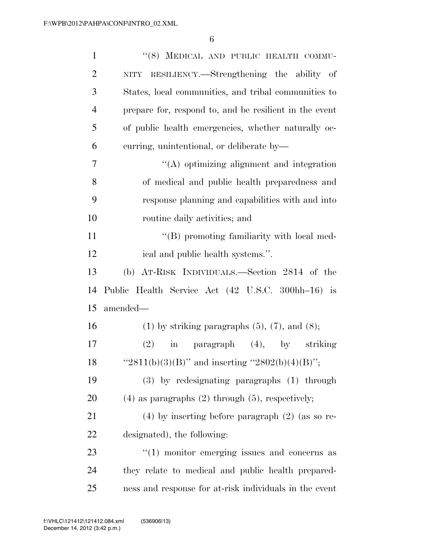| $\mathbf{1}$   | "(8) MEDICAL AND PUBLIC HEALTH COMMU-                    |
|----------------|----------------------------------------------------------|
| $\overline{2}$ | NITY RESILIENCY.—Strengthening the ability of            |
| 3              | States, local communities, and tribal communities to     |
| $\overline{4}$ | prepare for, respond to, and be resilient in the event   |
| 5              | of public health emergencies, whether naturally oc-      |
| 6              | curring, unintentional, or deliberate by-                |
| 7              | $\lq\lq$ optimizing alignment and integration            |
| 8              | of medical and public health preparedness and            |
| 9              | response planning and capabilities with and into         |
| 10             | routine daily activities; and                            |
| 11             | "(B) promoting familiarity with local med-               |
| 12             | ical and public health systems.".                        |
| 13             | (b) AT-RISK INDIVIDUALS.—Section 2814 of the             |
| 14             | Public Health Service Act (42 U.S.C. 300hh-16) is        |
| 15             | amended-                                                 |
| 16             | $(1)$ by striking paragraphs $(5)$ , $(7)$ , and $(8)$ ; |
| 17             | in paragraph (4), by striking<br>(2)                     |
| 18             | " $2811(b)(3)(B)$ " and inserting " $2802(b)(4)(B)$ ";   |
| 19             | (3) by redesignating paragraphs (1) through              |
| 20             | $(4)$ as paragraphs $(2)$ through $(5)$ , respectively;  |
| 21             | $(4)$ by inserting before paragraph $(2)$ (as so re-     |
| 22             | designated), the following:                              |
| 23             | $\lq(1)$ monitor emerging issues and concerns as         |
| 24             | they relate to medical and public health prepared-       |
| 25             | ness and response for at-risk individuals in the event   |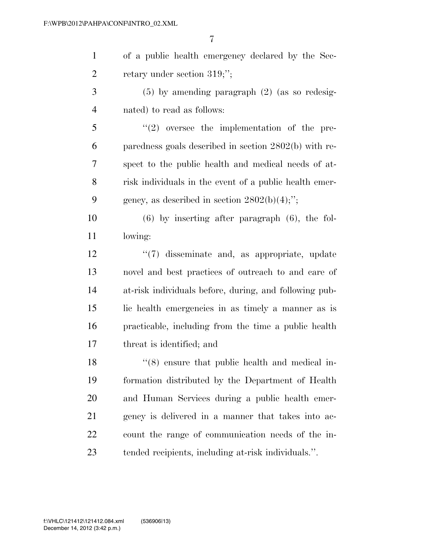of a public health emergency declared by the Sec-2 retary under section 319;";

 (5) by amending paragraph (2) (as so redesig-nated) to read as follows:

 ''(2) oversee the implementation of the pre- paredness goals described in section 2802(b) with re- spect to the public health and medical needs of at- risk individuals in the event of a public health emer-9 gency, as described in section  $2802(b)(4)$ ;";

 (6) by inserting after paragraph (6), the fol-lowing:

 ''(7) disseminate and, as appropriate, update novel and best practices of outreach to and care of at-risk individuals before, during, and following pub- lic health emergencies in as timely a manner as is practicable, including from the time a public health threat is identified; and

18 ''(8) ensure that public health and medical in- formation distributed by the Department of Health and Human Services during a public health emer- gency is delivered in a manner that takes into ac- count the range of communication needs of the in-tended recipients, including at-risk individuals.''.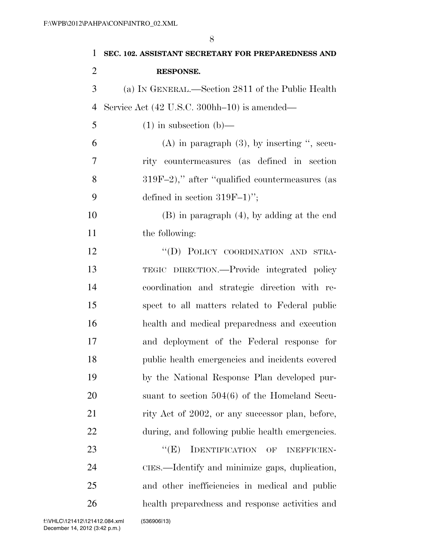| 1              | SEC. 102. ASSISTANT SECRETARY FOR PREPAREDNESS AND |
|----------------|----------------------------------------------------|
| $\overline{2}$ | <b>RESPONSE.</b>                                   |
| 3              | (a) IN GENERAL.—Section 2811 of the Public Health  |
| $\overline{4}$ | Service Act (42 U.S.C. 300hh-10) is amended—       |
| 5              | $(1)$ in subsection $(b)$ —                        |
| 6              | $(A)$ in paragraph $(3)$ , by inserting ", secu-   |
| 7              | rity countermeasures (as defined in section        |
| 8              | $319F-2$ ," after "qualified countermeasures (as   |
| 9              | defined in section $319F-1$ ";                     |
| 10             | $(B)$ in paragraph $(4)$ , by adding at the end    |
| 11             | the following:                                     |
| 12             | "(D) POLICY COORDINATION AND STRA-                 |
| 13             | TEGIC DIRECTION.—Provide integrated policy         |
| 14             | coordination and strategic direction with re-      |
| 15             | spect to all matters related to Federal public     |
| 16             | health and medical preparedness and execution      |
| 17             | and deployment of the Federal response for         |
| 18             | public health emergencies and incidents covered    |
| 19             | by the National Response Plan developed pur-       |
| 20             | suant to section $504(6)$ of the Homeland Secu-    |
| 21             | rity Act of 2002, or any successor plan, before,   |
| 22             | during, and following public health emergencies.   |
| 23             | ``(E)<br>IDENTIFICATION OF<br><b>INEFFICIEN-</b>   |
| 24             | CIES.—Identify and minimize gaps, duplication,     |
| 25             | and other inefficiencies in medical and public     |

health preparedness and response activities and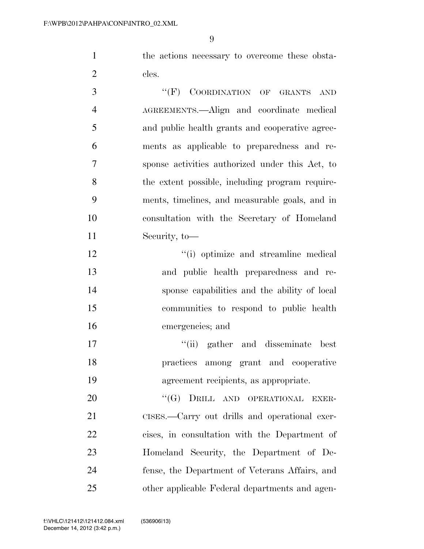the actions necessary to overcome these obsta-2 cles.

 ''(F) COORDINATION OF GRANTS AND AGREEMENTS.—Align and coordinate medical and public health grants and cooperative agree- ments as applicable to preparedness and re- sponse activities authorized under this Act, to the extent possible, including program require- ments, timelines, and measurable goals, and in consultation with the Secretary of Homeland Security, to—

 $\cdot$  (i) optimize and streamline medical and public health preparedness and re- sponse capabilities and the ability of local communities to respond to public health emergencies; and

17 ''(ii) gather and disseminate best practices among grant and cooperative agreement recipients, as appropriate.

20 "(G) DRILL AND OPERATIONAL EXER- CISES.—Carry out drills and operational exer- cises, in consultation with the Department of Homeland Security, the Department of De- fense, the Department of Veterans Affairs, and other applicable Federal departments and agen-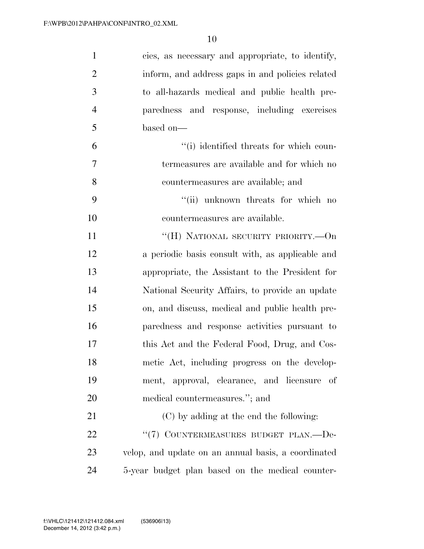| $\mathbf{1}$   | cies, as necessary and appropriate, to identify,    |
|----------------|-----------------------------------------------------|
| $\overline{2}$ | inform, and address gaps in and policies related    |
| 3              | to all-hazards medical and public health pre-       |
| $\overline{4}$ | paredness and response, including exercises         |
| 5              | based on-                                           |
| 6              | "(i) identified threats for which coun-             |
| $\overline{7}$ | termeasures are available and for which no          |
| 8              | countermeasures are available; and                  |
| 9              | "(ii) unknown threats for which no                  |
| 10             | countermeasures are available.                      |
| 11             | "(H) NATIONAL SECURITY PRIORITY.—On                 |
| 12             | a periodic basis consult with, as applicable and    |
| 13             | appropriate, the Assistant to the President for     |
| 14             | National Security Affairs, to provide an update     |
| 15             | on, and discuss, medical and public health pre-     |
| 16             | paredness and response activities pursuant to       |
| 17             | this Act and the Federal Food, Drug, and Cos-       |
| 18             | metic Act, including progress on the develop-       |
| 19             | ment, approval, clearance, and licensure<br>of      |
| 20             | medical countermeasures."; and                      |
| 21             | (C) by adding at the end the following:             |
| 22             | "(7) COUNTERMEASURES BUDGET PLAN.-De-               |
| 23             | velop, and update on an annual basis, a coordinated |
| 24             | 5-year budget plan based on the medical counter-    |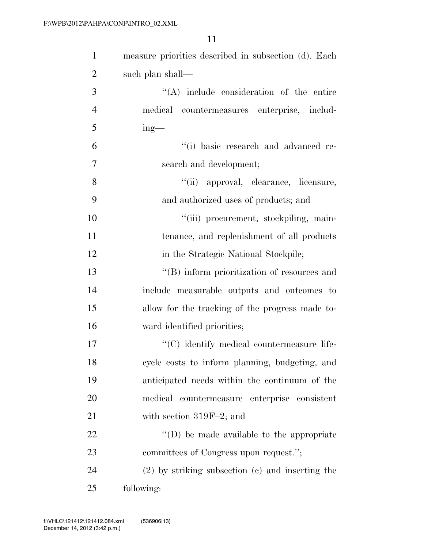| $\mathbf{1}$   | measure priorities described in subsection (d). Each |
|----------------|------------------------------------------------------|
| $\overline{2}$ | such plan shall—                                     |
| 3              | $\lq\lq$ include consideration of the entire         |
| $\overline{4}$ | medical countermeasures enterprise, includ-          |
| 5              | $ing$ —                                              |
| 6              | "(i) basic research and advanced re-                 |
| $\overline{7}$ | search and development;                              |
| 8              | "(ii) approval, clearance, licensure,                |
| 9              | and authorized uses of products; and                 |
| 10             | "(iii) procurement, stockpiling, main-               |
| 11             | tenance, and replenishment of all products           |
| 12             | in the Strategic National Stockpile;                 |
| 13             | "(B) inform prioritization of resources and          |
| 14             | include measurable outputs and outcomes to           |
| 15             | allow for the tracking of the progress made to-      |
| 16             | ward identified priorities;                          |
| 17             | "(C) identify medical countermeasure life-           |
| 18             | cycle costs to inform planning, budgeting, and       |
| 19             | anticipated needs within the continuum of the        |
| 20             | medical countermeasure enterprise consistent         |
| 21             | with section $319F-2$ ; and                          |
| 22             | $\lq\lq$ (D) be made available to the appropriate    |
| 23             | committees of Congress upon request.";               |
| 24             | $(2)$ by striking subsection $(e)$ and inserting the |
| 25             | following:                                           |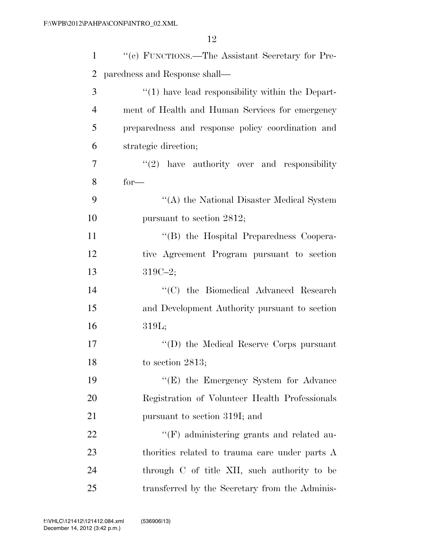| $\mathbf{1}$   | "(c) FUNCTIONS.—The Assistant Secretary for Pre-     |
|----------------|------------------------------------------------------|
| 2              | paredness and Response shall—                        |
| 3              | $\lq(1)$ have lead responsibility within the Depart- |
| $\overline{4}$ | ment of Health and Human Services for emergency      |
| 5              | preparedness and response policy coordination and    |
| 6              | strategic direction;                                 |
| 7              | $(2)$ have authority over and responsibility         |
| 8              | $for-$                                               |
| 9              | "(A) the National Disaster Medical System            |
| 10             | pursuant to section 2812;                            |
| 11             | "(B) the Hospital Preparedness Coopera-              |
| 12             | tive Agreement Program pursuant to section           |
| 13             | $319C - 2;$                                          |
| 14             | "(C) the Biomedical Advanced Research                |
| 15             | and Development Authority pursuant to section        |
| 16             | 319L;                                                |
| 17             | "(D) the Medical Reserve Corps pursuant              |
| 18             | to section 2813;                                     |
| 19             | $\lq\lq(E)$ the Emergency System for Advance         |
| 20             | Registration of Volunteer Health Professionals       |
| 21             | pursuant to section 319I; and                        |
| 22             | "(F) administering grants and related au-            |
| 23             | thorities related to trauma care under parts A       |
| 24             | through C of title XII, such authority to be         |
| 25             | transferred by the Secretary from the Adminis-       |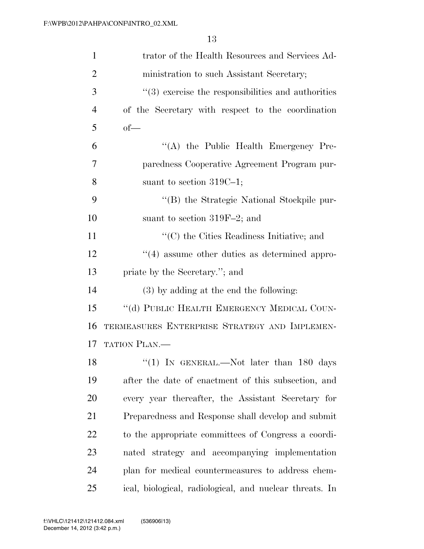| 1              | trator of the Health Resources and Services Ad-                    |
|----------------|--------------------------------------------------------------------|
| $\overline{2}$ | ministration to such Assistant Secretary;                          |
| 3              | $\cdot\cdot\cdot(3)$ exercise the responsibilities and authorities |
| $\overline{4}$ | of the Secretary with respect to the coordination                  |
| 5              | $of$ —                                                             |
| 6              | "(A) the Public Health Emergency Pre-                              |
| 7              | paredness Cooperative Agreement Program pur-                       |
| 8              | suant to section $319C-1$ ;                                        |
| 9              | "(B) the Strategic National Stockpile pur-                         |
| 10             | suant to section $319F-2$ ; and                                    |
| 11             | "(C) the Cities Readiness Initiative; and                          |
| 12             | $\lq(4)$ assume other duties as determined appro-                  |
| 13             | priate by the Secretary."; and                                     |
| 14             | $(3)$ by adding at the end the following:                          |
| 15             | "(d) PUBLIC HEALTH EMERGENCY MEDICAL COUN-                         |
| 16             | TERMEASURES ENTERPRISE STRATEGY AND IMPLEMEN-                      |
| 17             | <b>TATION PLAN.—</b>                                               |
| 18             | "(1) IN GENERAL.—Not later than 180 days                           |
| 19             | after the date of enactment of this subsection, and                |
| 20             | every year thereafter, the Assistant Secretary for                 |
| 21             | Preparedness and Response shall develop and submit                 |
| 22             | to the appropriate committees of Congress a coordi-                |
| 23             | nated strategy and accompanying implementation                     |
| 24             | plan for medical countermeasures to address chem-                  |
| 25             | ical, biological, radiological, and nuclear threats. In            |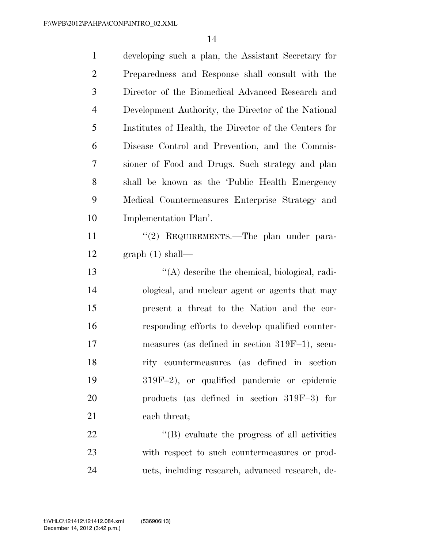| $\mathbf{1}$   | developing such a plan, the Assistant Secretary for   |
|----------------|-------------------------------------------------------|
| $\overline{2}$ | Preparedness and Response shall consult with the      |
| 3              | Director of the Biomedical Advanced Research and      |
| $\overline{4}$ | Development Authority, the Director of the National   |
| 5              | Institutes of Health, the Director of the Centers for |
| 6              | Disease Control and Prevention, and the Commis-       |
| 7              | sioner of Food and Drugs. Such strategy and plan      |
| 8              | shall be known as the 'Public Health Emergency        |
| 9              | Medical Countermeasures Enterprise Strategy and       |
| 10             | Implementation Plan'.                                 |
| 11             | "(2) REQUIREMENTS.—The plan under para-               |
| 12             | graph(1) shall—                                       |
| 13             | $\lq\lq$ describe the chemical, biological, radi-     |
| 14             | ological, and nuclear agent or agents that may        |
| 15             | present a threat to the Nation and the cor-           |
| 16             | responding efforts to develop qualified counter-      |
| 17             | measures (as defined in section $319F-1$ ), secu-     |
| 18             | rity countermeasures (as defined in section           |
| 19             | 319F-2), or qualified pandemic or epidemic            |
| 20             | products (as defined in section $319F-3$ ) for        |
| 21             | each threat;                                          |
| 22             | $\lq\lq$ evaluate the progress of all activities      |
| 23             | with respect to such countermeasures or prod-         |
| 24             | ucts, including research, advanced research, de-      |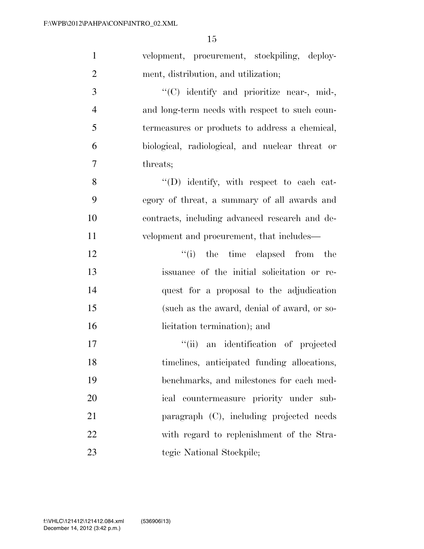| $\mathbf{1}$   | velopment, procurement, stockpiling, deploy-    |
|----------------|-------------------------------------------------|
| $\overline{2}$ | ment, distribution, and utilization;            |
| 3              | "(C) identify and prioritize near-, mid-,       |
| $\overline{4}$ | and long-term needs with respect to such coun-  |
| 5              | termeasures or products to address a chemical,  |
| 6              | biological, radiological, and nuclear threat or |
| $\tau$         | threats;                                        |
| 8              | $\lq\lq$ identify, with respect to each cat-    |
| 9              | egory of threat, a summary of all awards and    |
| 10             | contracts, including advanced research and de-  |
| 11             | velopment and procurement, that includes—       |
| 12             | "(i) the time elapsed from the                  |
| 13             | issuance of the initial solicitation or re-     |
| 14             | quest for a proposal to the adjudication        |
| 15             | (such as the award, denial of award, or so-     |
| 16             | licitation termination); and                    |
| 17             | ``(ii)<br>an identification of projected        |
| 18             | timelines, anticipated funding allocations,     |
| 19             | benchmarks, and milestones for each med-        |
| 20             | ical countermeasure priority under sub-         |
| 21             | paragraph (C), including projected needs        |
| 22             | with regard to replenishment of the Stra-       |
| 23             | tegic National Stockpile;                       |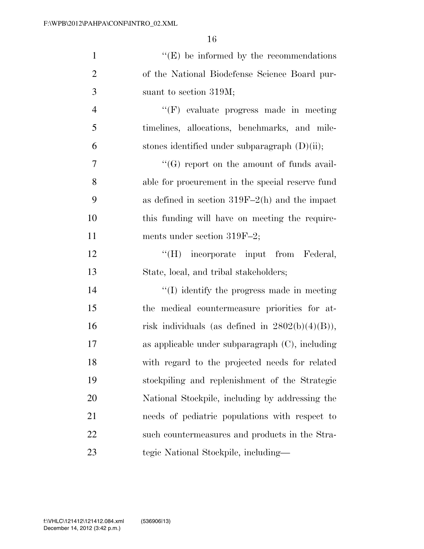| $\mathbf{1}$   | $\lq\lq(E)$ be informed by the recommendations     |
|----------------|----------------------------------------------------|
| $\overline{2}$ | of the National Biodefense Science Board pur-      |
| 3              | suant to section 319M;                             |
| $\overline{4}$ | "(F) evaluate progress made in meeting             |
| 5              | timelines, allocations, benchmarks, and mile-      |
| 6              | stones identified under subparagraph $(D)(ii)$ ;   |
| $\overline{7}$ | "(G) report on the amount of funds avail-          |
| 8              | able for procurement in the special reserve fund   |
| 9              | as defined in section $319F-2(h)$ and the impact   |
| 10             | this funding will have on meeting the require-     |
| 11             | ments under section $319F-2$ ;                     |
| 12             | "(H) incorporate input from Federal,               |
| 13             | State, local, and tribal stakeholders;             |
| 14             | $\lq\lq$ identify the progress made in meeting     |
| 15             | the medical countermeasure priorities for at-      |
| 16             | risk individuals (as defined in $2802(b)(4)(B)$ ), |
| 17             | as applicable under subparagraph $(C)$ , including |
| 18             | with regard to the projected needs for related     |
| 19             | stockpiling and replenishment of the Strategic     |
| 20             | National Stockpile, including by addressing the    |
| 21             | needs of pediatric populations with respect to     |
| 22             | such countermeasures and products in the Stra-     |
| 23             | tegic National Stockpile, including—               |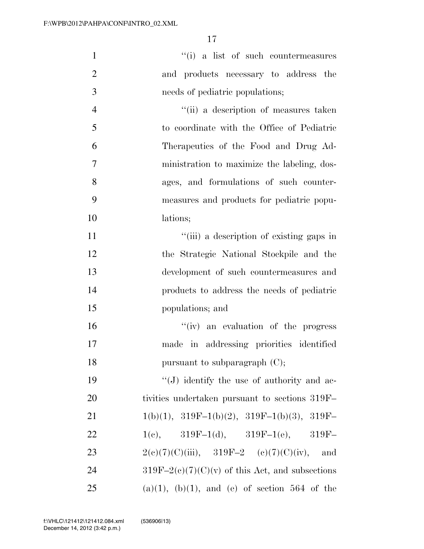| $\mathbf{1}$   | "(i) a list of such countermeasures                      |
|----------------|----------------------------------------------------------|
| $\overline{2}$ | and products necessary to address the                    |
| 3              | needs of pediatric populations;                          |
| $\overline{4}$ | "(ii) a description of measures taken                    |
| 5              | to coordinate with the Office of Pediatric               |
| 6              | Therapeutics of the Food and Drug Ad-                    |
| $\overline{7}$ | ministration to maximize the labeling, dos-              |
| 8              | ages, and formulations of such counter-                  |
| 9              | measures and products for pediatric popu-                |
| 10             | lations;                                                 |
| 11             | "(iii) a description of existing gaps in                 |
| 12             | the Strategic National Stockpile and the                 |
| 13             | development of such countermeasures and                  |
| 14             | products to address the needs of pediatric               |
| 15             | populations; and                                         |
| 16             | "(iv) an evaluation of the progress                      |
| 17             | made in addressing priorities identified                 |
| 18             | pursuant to subparagraph $(C)$ ;                         |
| 19             | "(J) identify the use of authority and ac-               |
| 20             | tivities undertaken pursuant to sections 319F            |
| 21             | $1(b)(1), 319F-1(b)(2), 319F-1(b)(3), 319F-$             |
| 22             | $1(e), \qquad 319F-1(d), \qquad 319F-1(e), \qquad 319F-$ |
| 23             | $2(e)(7)(C)(iii)$ , $319F-2$ (e)(7)(C)(iv), and          |
| 24             | $319F-2(c)(7)(C)(v)$ of this Act, and subsections        |
| 25             | $(a)(1)$ , $(b)(1)$ , and $(e)$ of section 564 of the    |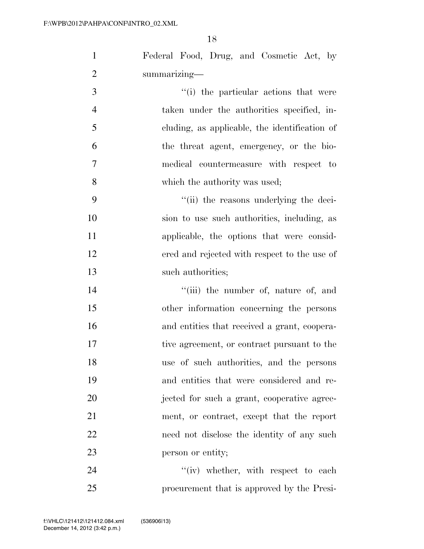| $\mathbf{1}$   | Federal Food, Drug, and Cosmetic Act, by      |
|----------------|-----------------------------------------------|
| $\mathbf{2}$   | summarizing-                                  |
| $\overline{3}$ | "(i) the particular actions that were         |
| $\overline{4}$ | taken under the authorities specified, in-    |
| 5              | cluding, as applicable, the identification of |
| 6              | the threat agent, emergency, or the bio-      |
| $\tau$         | medical countermeasure with respect to        |
| 8              | which the authority was used;                 |
| 9              | "(ii) the reasons underlying the deci-        |
| 10             | sion to use such authorities, including, as   |
| 11             | applicable, the options that were consid-     |
| 12             | ered and rejected with respect to the use of  |
| 13             | such authorities;                             |
| 14             | "(iii) the number of, nature of, and          |
| 15             | other information concerning the persons      |
| 16             | and entities that received a grant, coopera-  |
| 17             | tive agreement, or contract pursuant to the   |
| 18             | use of such authorities, and the persons      |
| 19             | and entities that were considered and re-     |
| 20             | jected for such a grant, cooperative agree-   |
| 21             | ment, or contract, except that the report     |
| 22             | need not disclose the identity of any such    |
| 23             | person or entity;                             |
| 24             | $f'(iv)$ whether, with respect to each        |
| 25             | procurement that is approved by the Presi-    |

December 14, 2012 (3:42 p.m.) f:\VHLC\121412\121412.084.xml (536906|13)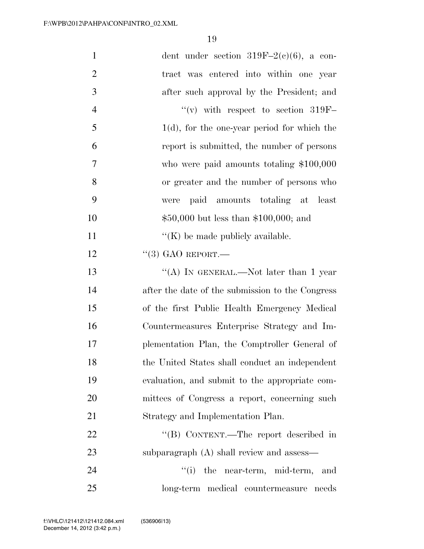| $\mathbf{1}$   | dent under section $319F-2(c)(6)$ , a con-       |
|----------------|--------------------------------------------------|
| $\overline{2}$ | tract was entered into within one year           |
| 3              | after such approval by the President; and        |
| $\overline{4}$ | $\lq\lq$ with respect to section 319F-           |
| 5              | $1(d)$ , for the one-year period for which the   |
| 6              | report is submitted, the number of persons       |
| $\overline{7}$ | who were paid amounts totaling $$100,000$        |
| 8              | or greater and the number of persons who         |
| 9              | paid amounts totaling at least<br>were           |
| 10             | $$50,000$ but less than \$100,000; and           |
| 11             | $\lq\lq$ (K) be made publicly available.         |
| 12             | $``(3)$ GAO REPORT.                              |
| 13             | "(A) IN GENERAL.—Not later than 1 year           |
| 14             | after the date of the submission to the Congress |
| 15             | of the first Public Health Emergency Medical     |
| 16             | Countermeasures Enterprise Strategy and Im-      |
| 17             | plementation Plan, the Comptroller General of    |
| 18             | the United States shall conduct an independent   |
| 19             | evaluation, and submit to the appropriate com-   |
| 20             | mittees of Congress a report, concerning such    |
| 21             | Strategy and Implementation Plan.                |
| 22             | "(B) CONTENT.—The report described in            |
| 23             | subparagraph (A) shall review and assess—        |
| 24             | ``(i)<br>the near-term, mid-term,<br>and         |
| 25             | long-term medical countermeasure needs           |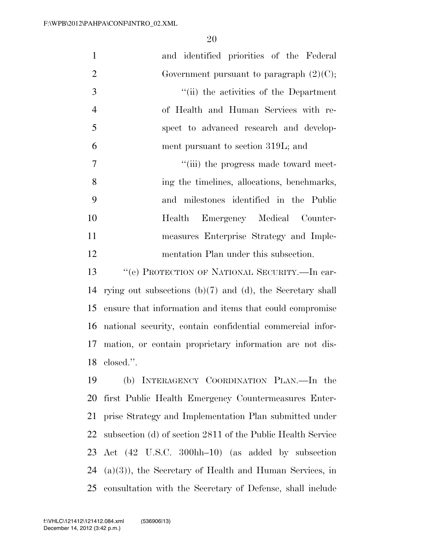| $\mathbf{1}$   | and identified priorities of the Federal                       |
|----------------|----------------------------------------------------------------|
| $\overline{2}$ | Government pursuant to paragraph $(2)(C)$ ;                    |
| 3              | "(ii) the activities of the Department                         |
| $\overline{4}$ | of Health and Human Services with re-                          |
| 5              | spect to advanced research and develop-                        |
| 6              | ment pursuant to section 319L; and                             |
| 7              | "(iii) the progress made toward meet-                          |
| 8              | ing the timelines, allocations, benchmarks,                    |
| 9              | and milestones identified in the Public                        |
| 10             | Health Emergency Medical Counter-                              |
| 11             | measures Enterprise Strategy and Imple-                        |
| 12             | mentation Plan under this subsection.                          |
| 13             | "(e) PROTECTION OF NATIONAL SECURITY.—In car-                  |
| 14             | rying out subsections $(b)(7)$ and $(d)$ , the Secretary shall |
| 15             | ensure that information and items that could compromise        |
| 16             | national security, contain confidential commercial infor-      |
| 17             | mation, or contain proprietary information are not dis-        |
| 18             | closed.".                                                      |
| 19             | (b) INTERAGENCY COORDINATION PLAN.—In the                      |
| 20             | first Public Health Emergency Countermeasures Enter-           |
| 21             | prise Strategy and Implementation Plan submitted under         |
| 22             | subsection (d) of section 2811 of the Public Health Service    |
| 23             | Act (42 U.S.C. 300hh-10) (as added by subsection               |
| 24             | $(a)(3)$ , the Secretary of Health and Human Services, in      |

consultation with the Secretary of Defense, shall include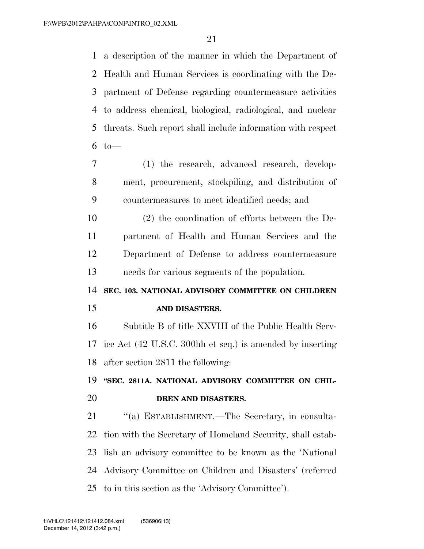a description of the manner in which the Department of Health and Human Services is coordinating with the De- partment of Defense regarding countermeasure activities to address chemical, biological, radiological, and nuclear threats. Such report shall include information with respect to  $-$ 

- (1) the research, advanced research, develop- ment, procurement, stockpiling, and distribution of countermeasures to meet identified needs; and
- (2) the coordination of efforts between the De- partment of Health and Human Services and the Department of Defense to address countermeasure needs for various segments of the population.
- **SEC. 103. NATIONAL ADVISORY COMMITTEE ON CHILDREN AND DISASTERS.**

 Subtitle B of title XXVIII of the Public Health Serv- ice Act (42 U.S.C. 300hh et seq.) is amended by inserting after section 2811 the following:

# **''SEC. 2811A. NATIONAL ADVISORY COMMITTEE ON CHIL-DREN AND DISASTERS.**

21 "(a) ESTABLISHMENT.—The Secretary, in consulta- tion with the Secretary of Homeland Security, shall estab- lish an advisory committee to be known as the 'National Advisory Committee on Children and Disasters' (referred to in this section as the 'Advisory Committee').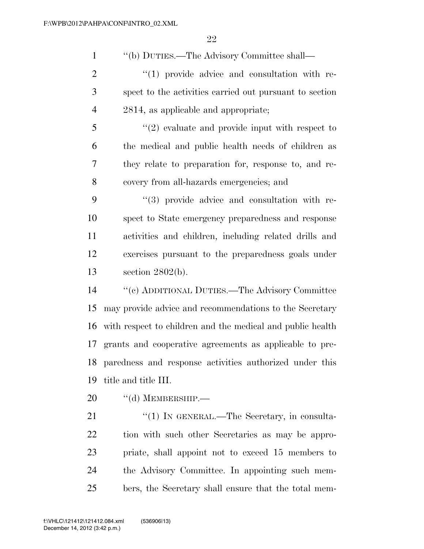''(b) DUTIES.—The Advisory Committee shall—

 ''(1) provide advice and consultation with re- spect to the activities carried out pursuant to section 2814, as applicable and appropriate;

 ''(2) evaluate and provide input with respect to the medical and public health needs of children as they relate to preparation for, response to, and re-covery from all-hazards emergencies; and

 $(3)$  provide advice and consultation with re- spect to State emergency preparedness and response activities and children, including related drills and exercises pursuant to the preparedness goals under section 2802(b).

 ''(c) ADDITIONAL DUTIES.—The Advisory Committee may provide advice and recommendations to the Secretary with respect to children and the medical and public health grants and cooperative agreements as applicable to pre- paredness and response activities authorized under this title and title III.

20 "(d) MEMBERSHIP.—

21 "(1) IN GENERAL.—The Secretary, in consulta- tion with such other Secretaries as may be appro- priate, shall appoint not to exceed 15 members to the Advisory Committee. In appointing such mem-bers, the Secretary shall ensure that the total mem-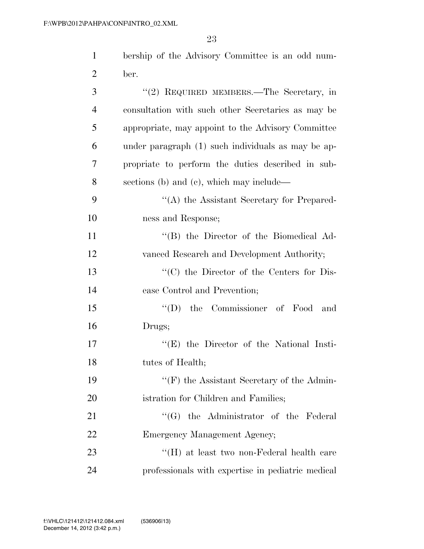| $\mathbf{1}$   | bership of the Advisory Committee is an odd num-   |
|----------------|----------------------------------------------------|
| $\overline{2}$ | ber.                                               |
| 3              | "(2) REQUIRED MEMBERS.—The Secretary, in           |
| $\overline{4}$ | consultation with such other Secretaries as may be |
| 5              | appropriate, may appoint to the Advisory Committee |
| 6              | under paragraph (1) such individuals as may be ap- |
| 7              | propriate to perform the duties described in sub-  |
| 8              | sections (b) and (c), which may include—           |
| 9              | "(A) the Assistant Secretary for Prepared-         |
| 10             | ness and Response;                                 |
| 11             | "(B) the Director of the Biomedical Ad-            |
| 12             | vanced Research and Development Authority;         |
| 13             | "(C) the Director of the Centers for Dis-          |
| 14             | ease Control and Prevention;                       |
| 15             | $\lq\lq$ (D) the Commissioner of Food<br>and       |
| 16             | Drugs;                                             |
| 17             | $f(E)$ the Director of the National Insti-         |
| 18             | tutes of Health;                                   |
| 19             | $\lq\lq(F)$ the Assistant Secretary of the Admin-  |
| 20             | istration for Children and Families;               |
| 21             | $\lq\lq(G)$ the Administrator of the Federal       |
| 22             | Emergency Management Agency;                       |
| 23             | "(H) at least two non-Federal health care          |
| 24             | professionals with expertise in pediatric medical  |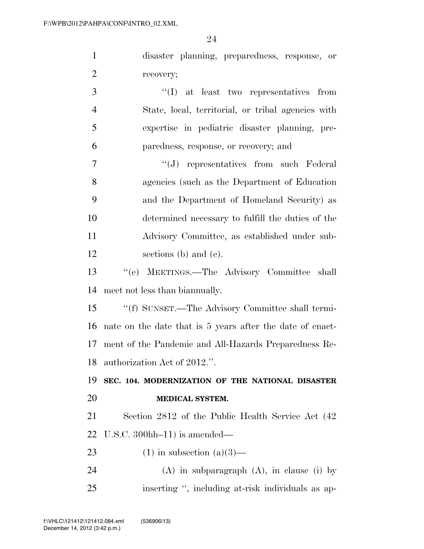disaster planning, preparedness, response, or recovery;

 ''(I) at least two representatives from State, local, territorial, or tribal agencies with expertise in pediatric disaster planning, pre-paredness, response, or recovery; and

 ''(J) representatives from such Federal agencies (such as the Department of Education and the Department of Homeland Security) as determined necessary to fulfill the duties of the Advisory Committee, as established under sub-sections (b) and (c).

 ''(e) MEETINGS.—The Advisory Committee shall meet not less than biannually.

 ''(f) SUNSET.—The Advisory Committee shall termi- nate on the date that is 5 years after the date of enact- ment of the Pandemic and All-Hazards Preparedness Re-authorization Act of 2012.''.

# **SEC. 104. MODERNIZATION OF THE NATIONAL DISASTER MEDICAL SYSTEM.**

 Section 2812 of the Public Health Service Act (42 U.S.C. 300hh–11) is amended—

23 (1) in subsection  $(a)(3)$ —

24 (A) in subparagraph  $(A)$ , in clause (i) by inserting '', including at-risk individuals as ap-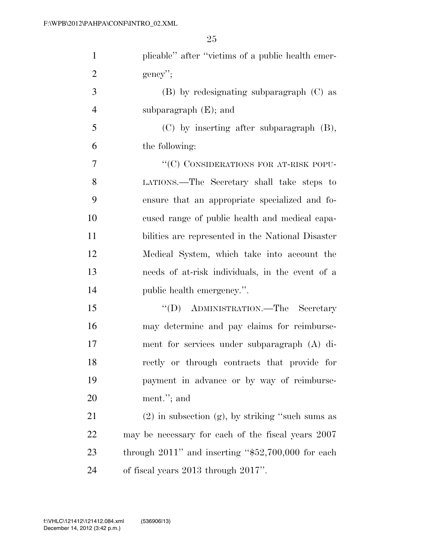| $\mathbf{1}$   | plicable" after "victims of a public health emer-       |
|----------------|---------------------------------------------------------|
| $\overline{2}$ | $gency$ ";                                              |
| 3              | $(B)$ by redesignating subparagraph $(C)$ as            |
| $\overline{4}$ | subparagraph $(E)$ ; and                                |
| 5              | $(C)$ by inserting after subparagraph $(B)$ ,           |
| 6              | the following:                                          |
| 7              | "(C) CONSIDERATIONS FOR AT-RISK POPU-                   |
| 8              | LATIONS.—The Secretary shall take steps to              |
| 9              | ensure that an appropriate specialized and fo-          |
| 10             | cused range of public health and medical capa-          |
| 11             | bilities are represented in the National Disaster       |
| 12             | Medical System, which take into account the             |
| 13             | needs of at-risk individuals, in the event of a         |
| 14             | public health emergency.".                              |
| 15             | "(D) ADMINISTRATION.—The Secretary                      |
| 16             | may determine and pay claims for reimburse-             |
| 17             | ment for services under subparagraph (A) di-            |
| 18             | rectly or through contracts that provide for            |
| 19             | payment in advance or by way of reimburse-              |
| 20             | ment."; and                                             |
| 21             | $(2)$ in subsection $(g)$ , by striking "such sums as   |
| 22             | may be necessary for each of the fiscal years 2007      |
| 23             | through $2011$ " and inserting " $$52,700,000$ for each |
| 24             | of fiscal years 2013 through 2017".                     |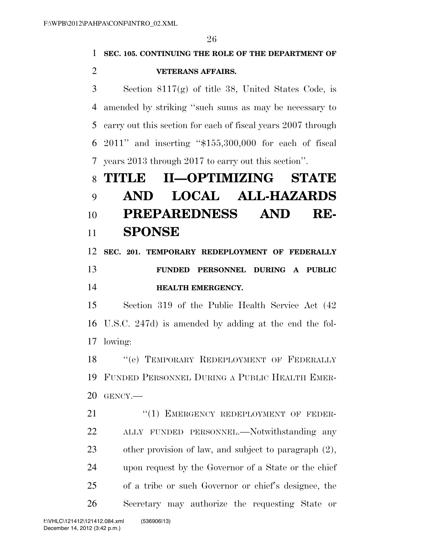|                | 26                                                           |
|----------------|--------------------------------------------------------------|
| 1              | SEC. 105. CONTINUING THE ROLE OF THE DEPARTMENT OF           |
| $\overline{2}$ | <b>VETERANS AFFAIRS.</b>                                     |
| 3              | Section $8117(g)$ of title 38, United States Code, is        |
| 4              | amended by striking "such sums as may be necessary to        |
| 5              | carry out this section for each of fiscal years 2007 through |
| 6              | $2011$ " and inserting " $$155,300,000$ for each of fiscal   |
| 7              | years 2013 through 2017 to carry out this section".          |
| 8              | II-OPTIMIZING STATE<br>TITLE                                 |
| 9              | <b>LOCAL ALL-HAZARDS</b><br>AND                              |
| 10             | PREPAREDNESS AND<br>RE-                                      |
| 11             | <b>SPONSE</b>                                                |
| 12             | SEC. 201. TEMPORARY REDEPLOYMENT OF FEDERALLY                |
|                |                                                              |
| 13             | PERSONNEL DURING A PUBLIC<br><b>FUNDED</b>                   |
| 14             | <b>HEALTH EMERGENCY.</b>                                     |
| 15             | Section 319 of the Public Health Service Act (42)            |
| 16             | U.S.C. 247d) is amended by adding at the end the fol-        |
| 17             | lowing:                                                      |
| 18             | "(e) TEMPORARY REDEPLOYMENT OF FEDERALLY                     |
| 19             | FUNDED PERSONNEL DURING A PUBLIC HEALTH EMER-                |
| 20             | GENCY.-                                                      |
| 21             | "(1) EMERGENCY REDEPLOYMENT OF FEDER-                        |
| 22             | ALLY FUNDED PERSONNEL.—Notwithstanding<br>any                |
| 23             | other provision of law, and subject to paragraph $(2)$ ,     |
| 24             | upon request by the Governor of a State or the chief         |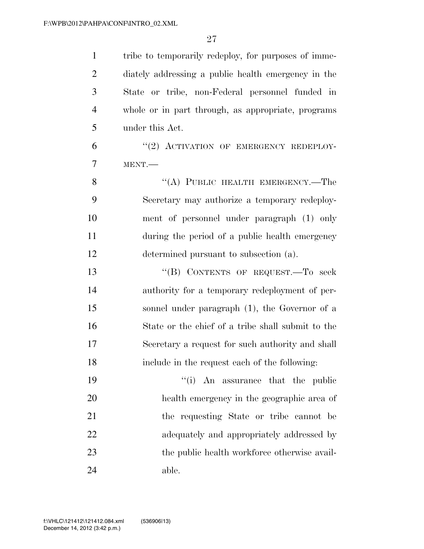| $\mathbf{1}$   | tribe to temporarily redeploy, for purposes of imme- |
|----------------|------------------------------------------------------|
| $\overline{2}$ | diately addressing a public health emergency in the  |
| 3              | State or tribe, non-Federal personnel funded in      |
| $\overline{4}$ | whole or in part through, as appropriate, programs   |
| 5              | under this Act.                                      |
| 6              | "(2) ACTIVATION OF EMERGENCY REDEPLOY-               |
| 7              | MENT.                                                |
| 8              | "(A) PUBLIC HEALTH EMERGENCY.—The                    |
| 9              | Secretary may authorize a temporary redeploy-        |
| 10             | ment of personnel under paragraph (1) only           |
| 11             | during the period of a public health emergency       |
| 12             | determined pursuant to subsection (a).               |
| 13             | "(B) CONTENTS OF REQUEST. To seek                    |
| 14             | authority for a temporary redeployment of per-       |
| 15             | sonnel under paragraph (1), the Governor of a        |
| 16             | State or the chief of a tribe shall submit to the    |
| 17             | Secretary a request for such authority and shall     |
| 18             | include in the request each of the following:        |
| 19             | ``(i)<br>An assurance that the public                |
| 20             | health emergency in the geographic area of           |
| 21             | the requesting State or tribe cannot be              |
| 22             | adequately and appropriately addressed by            |
| 23             | the public health workforce otherwise avail-         |
| 24             | able.                                                |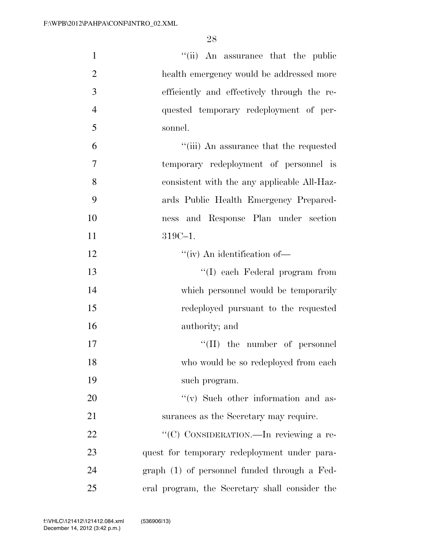| $\mathbf{1}$   | "(ii) An assurance that the public             |
|----------------|------------------------------------------------|
| $\overline{2}$ | health emergency would be addressed more       |
| 3              | efficiently and effectively through the re-    |
| $\overline{4}$ | quested temporary redeployment of per-         |
| 5              | sonnel.                                        |
| 6              | "(iii) An assurance that the requested         |
| $\overline{7}$ | temporary redeployment of personnel is         |
| 8              | consistent with the any applicable All-Haz-    |
| 9              | ards Public Health Emergency Prepared-         |
| 10             | ness and Response Plan under section           |
| 11             | 319C-1.                                        |
| 12             | $``(iv)$ An identification of-                 |
| 13             | "(I) each Federal program from                 |
| 14             | which personnel would be temporarily           |
| 15             | redeployed pursuant to the requested           |
| 16             | authority; and                                 |
| 17             | $\lq\lq$ (II) the number of personnel          |
| 18             | who would be so redeployed from each           |
| 19             | such program.                                  |
| 20             | $f'(v)$ Such other information and as-         |
| 21             | surances as the Secretary may require.         |
| 22             | "(C) CONSIDERATION.—In reviewing a re-         |
| 23             | quest for temporary redeployment under para-   |
| 24             | graph (1) of personnel funded through a Fed-   |
| 25             | eral program, the Secretary shall consider the |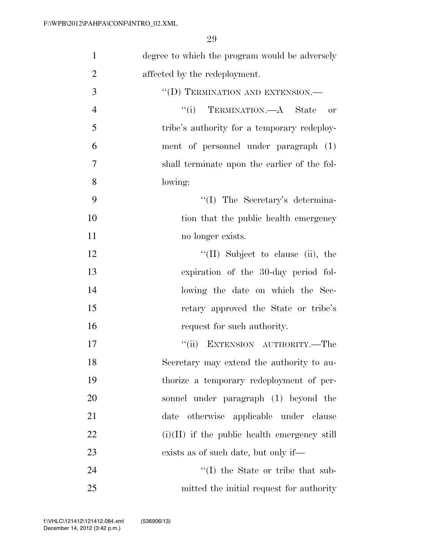| $\mathbf{1}$   | degree to which the program would be adversely |
|----------------|------------------------------------------------|
| $\overline{2}$ | affected by the redeployment.                  |
| 3              | "(D) TERMINATION AND EXTENSION.-               |
| $\overline{4}$ | "(i) TERMINATION.—A State<br><b>or</b>         |
| 5              | tribe's authority for a temporary redeploy-    |
| 6              | ment of personnel under paragraph (1)          |
| 7              | shall terminate upon the earlier of the fol-   |
| 8              | lowing:                                        |
| 9              | "(I) The Secretary's determina-                |
| 10             | tion that the public health emergency          |
| 11             | no longer exists.                              |
| 12             | $\lq\lq$ (II) Subject to clause (ii), the      |
| 13             | expiration of the 30-day period fol-           |
| 14             | lowing the date on which the Sec-              |
| 15             | retary approved the State or tribe's           |
| 16             | request for such authority.                    |
| 17             | EXTENSION AUTHORITY.-The<br>``(ii)             |
| 18             | Secretary may extend the authority to au-      |
| 19             | thorize a temporary redeployment of per-       |
| 20             | sonnel under paragraph (1) beyond the          |
| 21             | otherwise applicable under clause<br>date      |
| <u>22</u>      | $(i)(II)$ if the public health emergency still |
| 23             | exists as of such date, but only if—           |
| 24             | $\lq\lq$ the State or tribe that sub-          |
| 25             | mitted the initial request for authority       |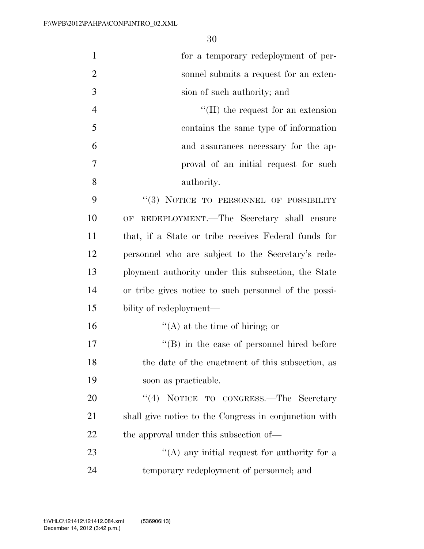| $\mathbf{1}$   | for a temporary redeployment of per-                  |
|----------------|-------------------------------------------------------|
| $\overline{2}$ | sonnel submits a request for an exten-                |
| 3              | sion of such authority; and                           |
| $\overline{4}$ | $\lq\lq$ (II) the request for an extension            |
| 5              | contains the same type of information                 |
| 6              | and assurances necessary for the ap-                  |
| 7              | proval of an initial request for such                 |
| 8              | authority.                                            |
| 9              | "(3) NOTICE TO PERSONNEL OF POSSIBILITY               |
| 10             | OF REDEPLOYMENT.—The Secretary shall ensure           |
| 11             | that, if a State or tribe receives Federal funds for  |
| 12             | personnel who are subject to the Secretary's rede-    |
| 13             | ployment authority under this subsection, the State   |
| 14             | or tribe gives notice to such personnel of the possi- |
| 15             | bility of redeployment—                               |
| 16             | $\lq\lq$ at the time of hiring; or                    |
| 17             | $\lq\lq (B)$ in the case of personnel hired before    |
| 18             | the date of the enactment of this subsection, as      |
| 19             | soon as practicable.                                  |
| 20             | "(4) NOTICE TO CONGRESS.—The Secretary                |
| 21             | shall give notice to the Congress in conjunction with |
| 22             | the approval under this subsection of—                |
| 23             | "(A) any initial request for authority for a          |
| 24             | temporary redeployment of personnel; and              |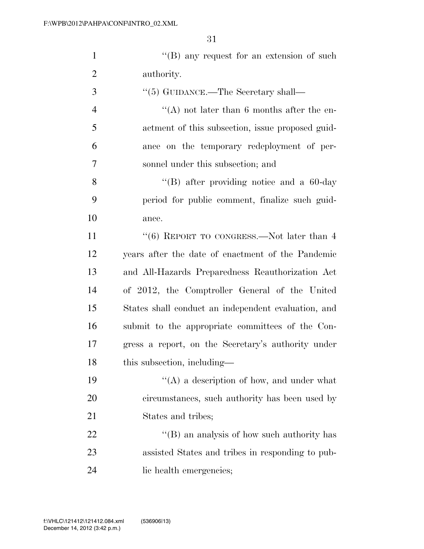1 ''(B) any request for an extension of such authority.

| 3              | $\cdot\cdot$ (5) GUIDANCE.—The Secretary shall—     |
|----------------|-----------------------------------------------------|
| $\overline{4}$ | "(A) not later than 6 months after the en-          |
| 5              | actment of this subsection, issue proposed guid-    |
| 6              | ance on the temporary redeployment of per-          |
| 7              | sonnel under this subsection; and                   |
| 8              | "(B) after providing notice and a $60$ -day"        |
| 9              | period for public comment, finalize such guid-      |
| 10             | ance.                                               |
| 11             | " $(6)$ REPORT TO CONGRESS.—Not later than 4        |
| 12             | years after the date of enactment of the Pandemic   |
| 13             | and All-Hazards Preparedness Reauthorization Act    |
| 14             | of 2012, the Comptroller General of the United      |
| 15             | States shall conduct an independent evaluation, and |
| 16             | submit to the appropriate committees of the Con-    |
| 17             | gress a report, on the Secretary's authority under  |
| 18             | this subsection, including—                         |
| 19             | "(A) a description of how, and under what           |
| 20             | circumstances, such authority has been used by      |
| 21             | States and tribes;                                  |
| 22             | $\lq\lq (B)$ an analysis of how such authority has  |
| 23             | assisted States and tribes in responding to pub-    |
|                |                                                     |

lic health emergencies;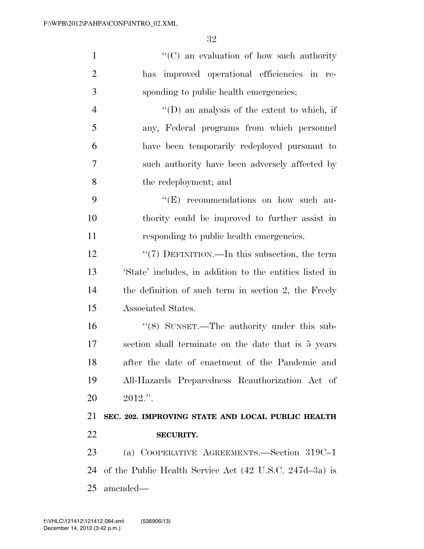| $\mathbf{1}$   | $\lq\lq$ (C) an evaluation of how such authority        |
|----------------|---------------------------------------------------------|
| $\overline{2}$ | improved operational efficiencies in re-<br>has         |
| 3              | sponding to public health emergencies;                  |
| $\overline{4}$ | $\lq\lq$ (D) an analysis of the extent to which, if     |
| 5              | any, Federal programs from which personnel              |
| 6              | have been temporarily redeployed pursuant to            |
| 7              | such authority have been adversely affected by          |
| 8              | the redeployment; and                                   |
| 9              | "(E) recommendations on how such au-                    |
| 10             | thority could be improved to further assist in          |
| 11             | responding to public health emergencies.                |
| 12             | "(7) DEFINITION.—In this subsection, the term           |
| 13             | 'State' includes, in addition to the entities listed in |
| 14             | the definition of such term in section 2, the Freely    |
| 15             | Associated States.                                      |
| 16             | "(8) SUNSET.—The authority under this sub-              |
| 17             | section shall terminate on the date that is 5 years     |
| 18             | after the date of enactment of the Pandemic and         |
| 19             | All-Hazards Preparedness Reauthorization Act of         |
| 20             | $2012."$ .                                              |
| 21             | SEC. 202. IMPROVING STATE AND LOCAL PUBLIC HEALTH       |
| 22             | <b>SECURITY.</b>                                        |
| 23             | (a) COOPERATIVE AGREEMENTS.—Section 319C-1              |
| 24             | of the Public Health Service Act (42 U.S.C. 247d-3a) is |
| 25             | amended—                                                |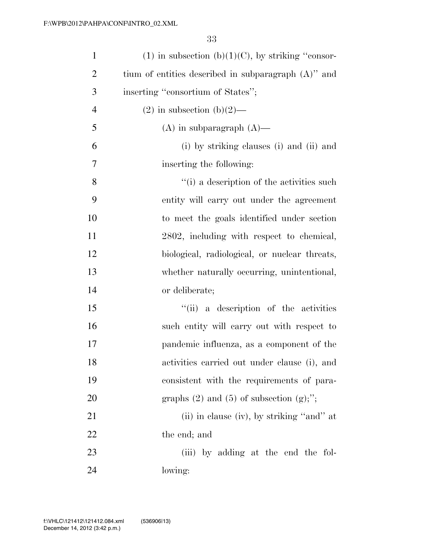| $\mathbf{1}$   | $(1)$ in subsection $(b)(1)(C)$ , by striking "consor- |
|----------------|--------------------------------------------------------|
| $\overline{2}$ | tium of entities described in subparagraph $(A)$ " and |
| 3              | inserting "consortium of States";                      |
| $\overline{4}$ | $(2)$ in subsection $(b)(2)$ —                         |
| 5              | $(A)$ in subparagraph $(A)$ —                          |
| 6              | (i) by striking clauses (i) and (ii) and               |
| 7              | inserting the following:                               |
| 8              | "(i) a description of the activities such              |
| 9              | entity will carry out under the agreement              |
| 10             | to meet the goals identified under section             |
| 11             | 2802, including with respect to chemical,              |
| 12             | biological, radiological, or nuclear threats,          |
| 13             | whether naturally occurring, unintentional,            |
| 14             | or deliberate;                                         |
| 15             | "(ii) a description of the activities                  |
| 16             | such entity will carry out with respect to             |
| 17             | pandemic influenza, as a component of the              |
| 18             | activities carried out under clause (i), and           |
| 19             | consistent with the requirements of para-              |
| 20             | graphs $(2)$ and $(5)$ of subsection $(g)$ ;";         |
| 21             | (ii) in clause (iv), by striking "and" at              |
| 22             | the end; and                                           |
| 23             | (iii) by adding at the end the fol-                    |
| 24             | lowing:                                                |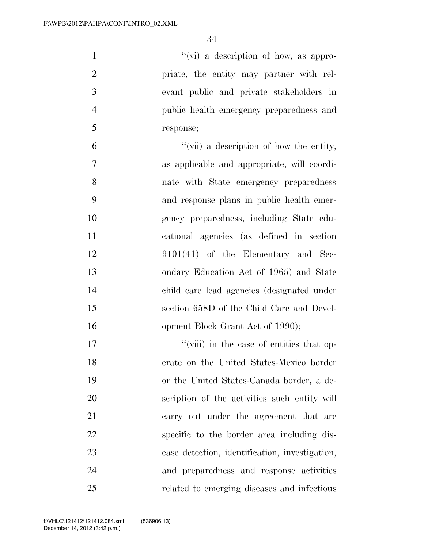''(vi) a description of how, as appro- priate, the entity may partner with rel- evant public and private stakeholders in public health emergency preparedness and response;

 ''(vii) a description of how the entity, as applicable and appropriate, will coordi- nate with State emergency preparedness and response plans in public health emer- gency preparedness, including State edu- cational agencies (as defined in section 9101(41) of the Elementary and Sec- ondary Education Act of 1965) and State child care lead agencies (designated under section 658D of the Child Care and Devel-16 opment Block Grant Act of 1990);

17 ''(viii) in the case of entities that op- erate on the United States-Mexico border or the United States-Canada border, a de- scription of the activities such entity will carry out under the agreement that are specific to the border area including dis- ease detection, identification, investigation, and preparedness and response activities related to emerging diseases and infectious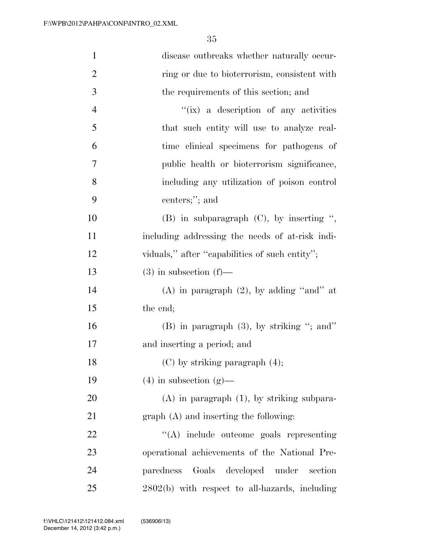| $\mathbf{1}$   | disease outbreaks whether naturally occur-       |
|----------------|--------------------------------------------------|
| $\overline{2}$ | ring or due to bioterrorism, consistent with     |
| 3              | the requirements of this section; and            |
| $\overline{4}$ | "(ix) a description of any activities            |
| 5              | that such entity will use to analyze real-       |
| 6              | time clinical specimens for pathogens of         |
| 7              | public health or bioterrorism significance,      |
| 8              | including any utilization of poison control      |
| 9              | centers;"; and                                   |
| 10             | $(B)$ in subparagraph $(C)$ , by inserting ",    |
| 11             | including addressing the needs of at-risk indi-  |
| 12             | viduals," after "capabilities of such entity";   |
| 13             | $(3)$ in subsection $(f)$ —                      |
| 14             | $(A)$ in paragraph $(2)$ , by adding "and" at    |
| 15             | the end;                                         |
| 16             | $(B)$ in paragraph $(3)$ , by striking "; and"   |
| 17             | and inserting a period; and                      |
| 18             | $(C)$ by striking paragraph $(4)$ ;              |
| 19             | $(4)$ in subsection $(g)$ —                      |
| 20             | $(A)$ in paragraph $(1)$ , by striking subpara-  |
| 21             | graph (A) and inserting the following:           |
| 22             | $\lq\lq$ include outcome goals representing      |
| 23             | operational achievements of the National Pre-    |
| 24             | Goals developed under<br>paredness<br>section    |
| 25             | $2802(b)$ with respect to all-hazards, including |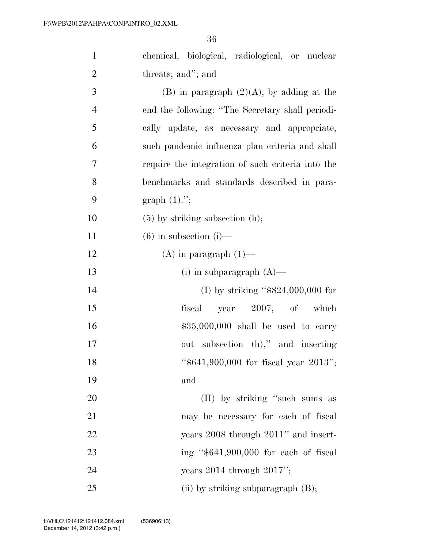| $\mathbf{1}$   | chemical, biological, radiological, or nuclear    |
|----------------|---------------------------------------------------|
| $\overline{2}$ | threats; and"; and                                |
| $\overline{3}$ | $(B)$ in paragraph $(2)(A)$ , by adding at the    |
| $\overline{4}$ | end the following: "The Secretary shall periodi-  |
| 5              | cally update, as necessary and appropriate,       |
| 6              | such pandemic influenza plan criteria and shall   |
| $\overline{7}$ | require the integration of such criteria into the |
| 8              | benchmarks and standards described in para-       |
| 9              | graph $(1)$ .";                                   |
| 10             | $(5)$ by striking subsection $(h)$ ;              |
| 11             | $(6)$ in subsection $(i)$ —                       |
| 12             | $(A)$ in paragraph $(1)$ —                        |
| 13             | (i) in subparagraph $(A)$ —                       |
| 14             | (I) by striking " $$824,000,000$ for              |
| 15             | year 2007, of which<br>fiscal                     |
| 16             | $$35,000,000$ shall be used to carry              |
| 17             | out subsection (h)," and inserting                |
| 18             | " $$641,900,000$ for fiscal year 2013";           |
| 19             | and                                               |
| 20             | (II) by striking "such sums as                    |
| 21             | may be necessary for each of fiscal               |
| 22             | years 2008 through 2011" and insert-              |
| 23             | ing " $$641,900,000$ for each of fiscal           |
| 24             | years $2014$ through $2017$ ";                    |
| $25\,$         | (ii) by striking subparagraph $(B)$ ;             |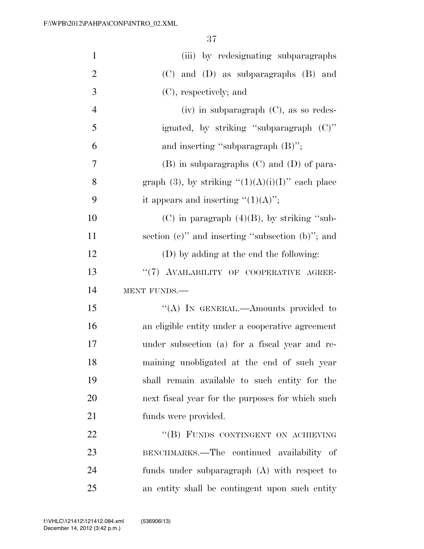| $\mathbf{1}$   | (iii) by redesignating subparagraphs                   |
|----------------|--------------------------------------------------------|
| $\overline{2}$ | $(C)$ and $(D)$ as subparagraphs $(B)$ and             |
| 3              | (C), respectively; and                                 |
| $\overline{4}$ | $(iv)$ in subparagraph $(C)$ , as so redes-            |
| 5              | ignated, by striking "subparagraph (C)"                |
| 6              | and inserting "subparagraph $(B)$ ";                   |
| $\overline{7}$ | $(B)$ in subparagraphs $(C)$ and $(D)$ of para-        |
| 8              | graph (3), by striking " $(1)(A)(i)(I)$ " each place   |
| 9              | it appears and inserting " $(1)(A)$ ";                 |
| 10             | (C) in paragraph $(4)(B)$ , by striking "sub-          |
| 11             | section $(e)$ " and inserting "subsection $(b)$ "; and |
| 12             | (D) by adding at the end the following:                |
| 13             | "(7) AVAILABILITY OF COOPERATIVE AGREE-                |
| 14             | MENT FUNDS.                                            |
| 15             | "(A) IN GENERAL.—Amounts provided to                   |
| 16             | an eligible entity under a cooperative agreement       |
| 17             | under subsection (a) for a fiscal year and re-         |
| 18             | maining unobligated at the end of such year            |
| 19             | shall remain available to such entity for the          |
| 20             | next fiscal year for the purposes for which such       |
| 21             | funds were provided.                                   |
| 22             | "(B) FUNDS CONTINGENT ON ACHIEVING                     |
| 23             | BENCHMARKS.—The continued availability of              |
| 24             | funds under subparagraph $(A)$ with respect to         |
| 25             | an entity shall be contingent upon such entity         |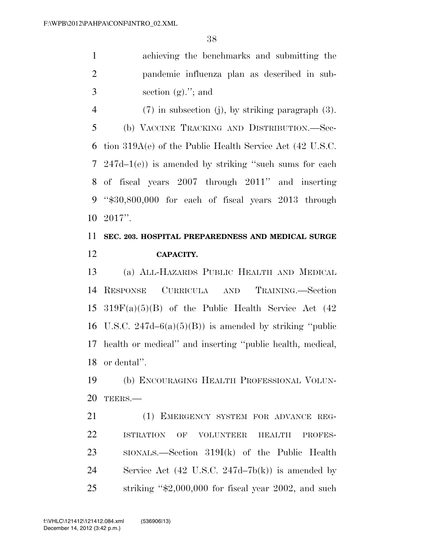achieving the benchmarks and submitting the pandemic influenza plan as described in sub- $3 \qquad \qquad \text{section (g).}$ "; and

 (7) in subsection (j), by striking paragraph (3). (b) VACCINE TRACKING AND DISTRIBUTION.—Sec- tion 319A(e) of the Public Health Service Act (42 U.S.C. 247d–1(e)) is amended by striking ''such sums for each of fiscal years 2007 through 2011'' and inserting

 ''\$30,800,000 for each of fiscal years 2013 through 2017''.

# **SEC. 203. HOSPITAL PREPAREDNESS AND MEDICAL SURGE CAPACITY.**

 (a) ALL-HAZARDS PUBLIC HEALTH AND MEDICAL RESPONSE CURRICULA AND TRAINING.—Section  $319F(a)(5)(B)$  of the Public Health Service Act (42) 16 U.S.C.  $247d-6(a)(5)(B)$  is amended by striking "public" health or medical'' and inserting ''public health, medical, or dental''.

 (b) ENCOURAGING HEALTH PROFESSIONAL VOLUN-TEERS.—

 (1) EMERGENCY SYSTEM FOR ADVANCE REG- ISTRATION OF VOLUNTEER HEALTH PROFES- SIONALS.—Section 319I(k) of the Public Health Service Act (42 U.S.C. 247d–7b(k)) is amended by striking ''\$2,000,000 for fiscal year 2002, and such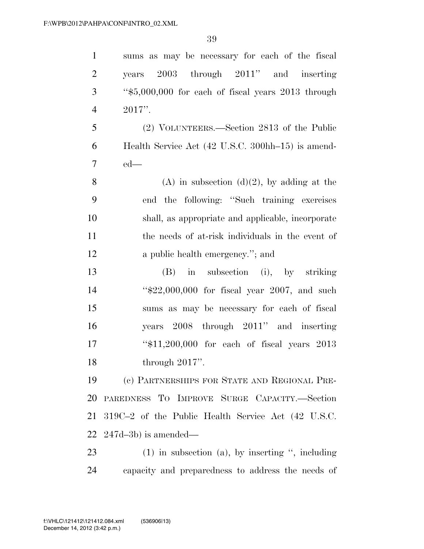sums as may be necessary for each of the fiscal years 2003 through 2011'' and inserting ''\$5,000,000 for each of fiscal years 2013 through 2017''. (2) VOLUNTEERS.—Section 2813 of the Public Health Service Act (42 U.S.C. 300hh–15) is amend- ed— 8 (A) in subsection  $(d)(2)$ , by adding at the end the following: ''Such training exercises shall, as appropriate and applicable, incorporate the needs of at-risk individuals in the event of 12 a public health emergency."; and (B) in subsection (i), by striking ''\$22,000,000 for fiscal year 2007, and such sums as may be necessary for each of fiscal years 2008 through 2011'' and inserting ''\$11,200,000 for each of fiscal years 2013 through 2017''. (c) PARTNERSHIPS FOR STATE AND REGIONAL PRE- PAREDNESS TO IMPROVE SURGE CAPACITY.—Section 319C–2 of the Public Health Service Act (42 U.S.C. 247d–3b) is amended— (1) in subsection (a), by inserting '', including

capacity and preparedness to address the needs of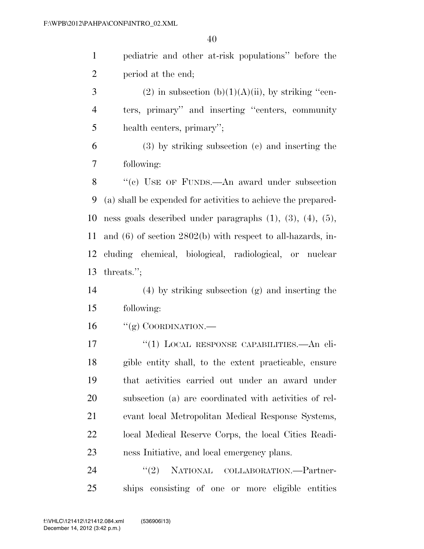pediatric and other at-risk populations'' before the period at the end;

3 (2) in subsection (b)(1)(A)(ii), by striking "cen- ters, primary'' and inserting ''centers, community health centers, primary'';

 (3) by striking subsection (c) and inserting the following:

 ''(c) USE OF FUNDS.—An award under subsection (a) shall be expended for activities to achieve the prepared- ness goals described under paragraphs (1), (3), (4), (5), and (6) of section 2802(b) with respect to all-hazards, in- cluding chemical, biological, radiological, or nuclear threats.'';

 (4) by striking subsection (g) and inserting the following:

"(g) COORDINATION.—

17 <sup>"</sup>(1) LOCAL RESPONSE CAPABILITIES.—An eli- gible entity shall, to the extent practicable, ensure that activities carried out under an award under subsection (a) are coordinated with activities of rel- evant local Metropolitan Medical Response Systems, local Medical Reserve Corps, the local Cities Readi-ness Initiative, and local emergency plans.

24 "(2) NATIONAL COLLABORATION.—Partner-ships consisting of one or more eligible entities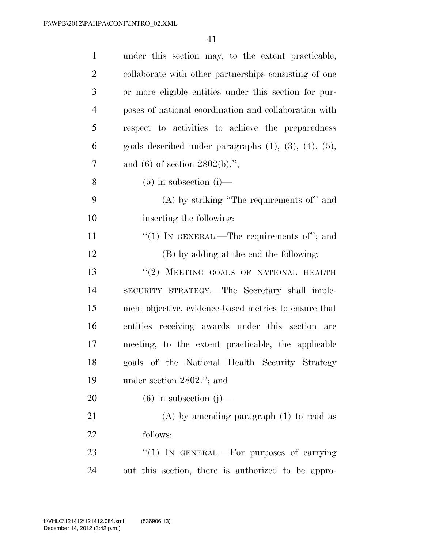| $\mathbf{1}$   | under this section may, to the extent practicable,               |
|----------------|------------------------------------------------------------------|
| $\overline{2}$ | collaborate with other partnerships consisting of one            |
| 3              | or more eligible entities under this section for pur-            |
| $\overline{4}$ | poses of national coordination and collaboration with            |
| 5              | respect to activities to achieve the preparedness                |
| 6              | goals described under paragraphs $(1)$ , $(3)$ , $(4)$ , $(5)$ , |
| 7              | and (6) of section $2802(b)$ .";                                 |
| 8              | $(5)$ in subsection $(i)$ —                                      |
| 9              | $(A)$ by striking "The requirements of" and                      |
| 10             | inserting the following:                                         |
| 11             | "(1) IN GENERAL.—The requirements of"; and                       |
| 12             | (B) by adding at the end the following:                          |
| 13             | "(2) MEETING GOALS OF NATIONAL HEALTH                            |
| 14             | SECURITY STRATEGY.—The Secretary shall imple-                    |
| 15             | ment objective, evidence-based metrics to ensure that            |
| 16             | entities receiving awards under this section are                 |
| 17             | meeting, to the extent practicable, the applicable               |
| 18             | goals of the National Health Security Strategy                   |
| 19             | under section $2802$ ."; and                                     |
| 20             | $(6)$ in subsection $(j)$ —                                      |
| 21             | $(A)$ by amending paragraph $(1)$ to read as                     |
| 22             | follows:                                                         |
| 23             | "(1) IN GENERAL.—For purposes of carrying                        |
| 24             | out this section, there is authorized to be appro-               |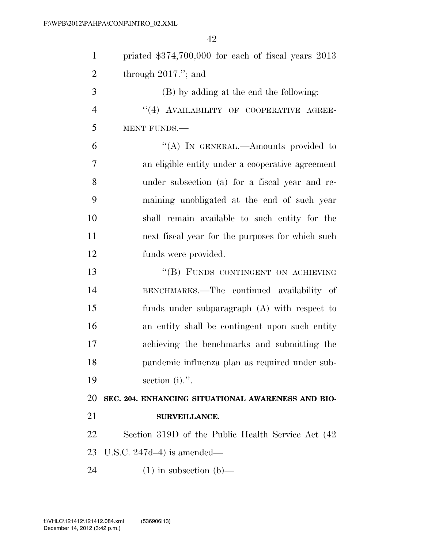| $\mathbf{1}$   | priated $$374,700,000$ for each of fiscal years $2013$ |
|----------------|--------------------------------------------------------|
| $\overline{2}$ | through $2017$ ."; and                                 |
| 3              | (B) by adding at the end the following:                |
| $\overline{4}$ | "(4) AVAILABILITY OF COOPERATIVE AGREE-                |
| 5              | MENT FUNDS.                                            |
| 6              | "(A) IN GENERAL.—Amounts provided to                   |
| 7              | an eligible entity under a cooperative agreement       |
| 8              | under subsection (a) for a fiscal year and re-         |
| 9              | maining unobligated at the end of such year            |
| 10             | shall remain available to such entity for the          |
| 11             | next fiscal year for the purposes for which such       |
| 12             | funds were provided.                                   |
| 13             | "(B) FUNDS CONTINGENT ON ACHIEVING                     |
| 14             | BENCHMARKS.—The continued availability of              |
| 15             | funds under subparagraph (A) with respect to           |
| 16             | an entity shall be contingent upon such entity         |
| 17             | achieving the benchmarks and submitting the            |
| 18             | pandemic influenza plan as required under sub-         |
| 19             | section $(i)$ .".                                      |
| 20             | SEC. 204. ENHANCING SITUATIONAL AWARENESS AND BIO-     |
| 21             | SURVEILLANCE.                                          |
| 22             | Section 319D of the Public Health Service Act (42)     |
| 23             | U.S.C. $247d-4$ ) is amended—                          |
| 24             | $(1)$ in subsection $(b)$ —                            |
|                |                                                        |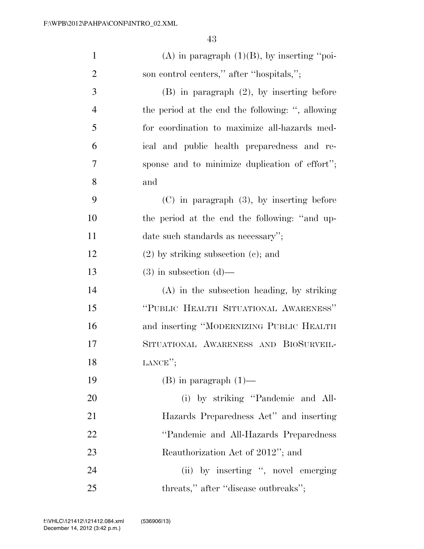| $\mathbf{1}$   | (A) in paragraph $(1)(B)$ , by inserting "poi-   |
|----------------|--------------------------------------------------|
| $\overline{2}$ | son control centers," after "hospitals,";        |
| 3              | $(B)$ in paragraph $(2)$ , by inserting before   |
| $\overline{4}$ | the period at the end the following: ", allowing |
| 5              | for coordination to maximize all-hazards med-    |
| 6              | ical and public health preparedness and re-      |
| 7              | sponse and to minimize duplication of effort";   |
| 8              | and                                              |
| 9              | $(C)$ in paragraph $(3)$ , by inserting before   |
| 10             | the period at the end the following: "and up-    |
| 11             | date such standards as necessary";               |
| 12             | $(2)$ by striking subsection $(e)$ ; and         |
| 13             | $(3)$ in subsection $(d)$ —                      |
| 14             | (A) in the subsection heading, by striking       |
| 15             | "PUBLIC HEALTH SITUATIONAL AWARENESS"            |
| 16             | and inserting "MODERNIZING PUBLIC HEALTH         |
| 17             | SITUATIONAL AWARENESS AND BIOSURVEIL-            |
| 18             | LANCE";                                          |
| 19             | $(B)$ in paragraph $(1)$ —                       |
| 20             | (i) by striking "Pandemic and All-               |
| 21             | Hazards Preparedness Act" and inserting          |
| 22             | "Pandemic and All-Hazards Preparedness           |
| 23             | Reauthorization Act of 2012"; and                |
| 24             | (ii) by inserting ", novel emerging              |
| 25             | threats," after "disease outbreaks";             |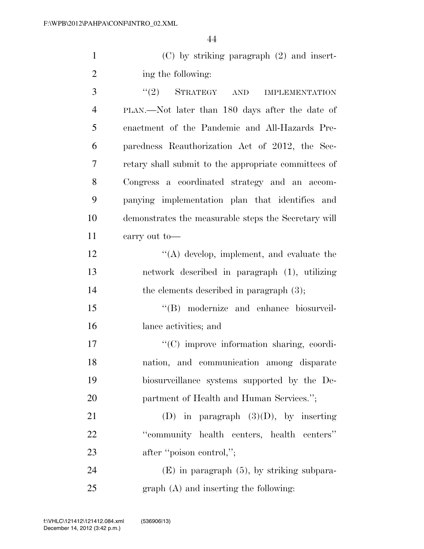1 (C) by striking paragraph (2) and insert-2 ing the following:

3 "(2) STRATEGY AND IMPLEMENTATION PLAN.—Not later than 180 days after the date of enactment of the Pandemic and All-Hazards Pre- paredness Reauthorization Act of 2012, the Sec- retary shall submit to the appropriate committees of Congress a coordinated strategy and an accom- panying implementation plan that identifies and demonstrates the measurable steps the Secretary will carry out to— 12 ''(A) develop, implement, and evaluate the network described in paragraph (1), utilizing 14 the elements described in paragraph  $(3)$ ;

15 "(B) modernize and enhance biosurveil-16 lance activities; and

 $\langle \text{C}(\text{C}) \rangle$  improve information sharing, coordi- nation, and communication among disparate biosurveillance systems supported by the De-20 partment of Health and Human Services.";

21 (D) in paragraph  $(3)(D)$ , by inserting 22 ''community health centers, health centers'' 23 after "poison control,";

24 (E) in paragraph (5), by striking subpara-25 graph (A) and inserting the following: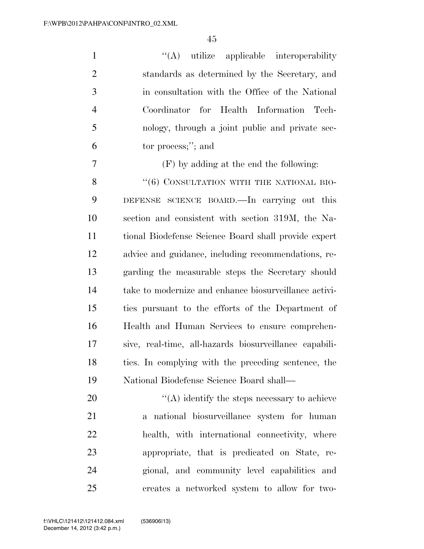$\langle (A)$  utilize applicable interoperability standards as determined by the Secretary, and in consultation with the Office of the National Coordinator for Health Information Tech- nology, through a joint public and private sec-tor process;''; and

(F) by adding at the end the following:

8 "(6) CONSULTATION WITH THE NATIONAL BIO- DEFENSE SCIENCE BOARD.—In carrying out this section and consistent with section 319M, the Na- tional Biodefense Science Board shall provide expert advice and guidance, including recommendations, re- garding the measurable steps the Secretary should take to modernize and enhance biosurveillance activi- ties pursuant to the efforts of the Department of Health and Human Services to ensure comprehen- sive, real-time, all-hazards biosurveillance capabili- ties. In complying with the preceding sentence, the National Biodefense Science Board shall—

 ''(A) identify the steps necessary to achieve a national biosurveillance system for human health, with international connectivity, where appropriate, that is predicated on State, re- gional, and community level capabilities and creates a networked system to allow for two-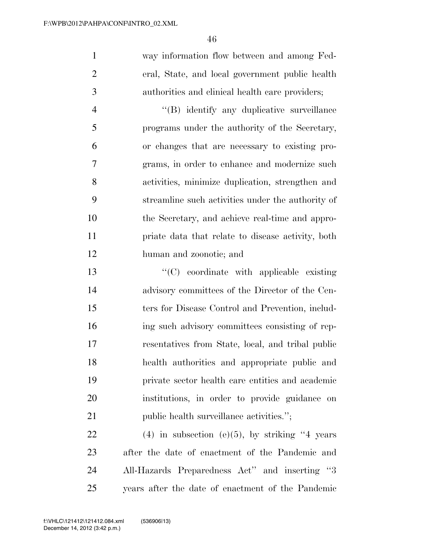way information flow between and among Fed- eral, State, and local government public health authorities and clinical health care providers;

 ''(B) identify any duplicative surveillance programs under the authority of the Secretary, or changes that are necessary to existing pro- grams, in order to enhance and modernize such activities, minimize duplication, strengthen and streamline such activities under the authority of the Secretary, and achieve real-time and appro- priate data that relate to disease activity, both human and zoonotic; and

 ''(C) coordinate with applicable existing advisory committees of the Director of the Cen- ters for Disease Control and Prevention, includ- ing such advisory committees consisting of rep- resentatives from State, local, and tribal public health authorities and appropriate public and private sector health care entities and academic institutions, in order to provide guidance on 21 public health surveillance activities.";

22 (4) in subsection (e)(5), by striking years after the date of enactment of the Pandemic and All-Hazards Preparedness Act'' and inserting ''3 years after the date of enactment of the Pandemic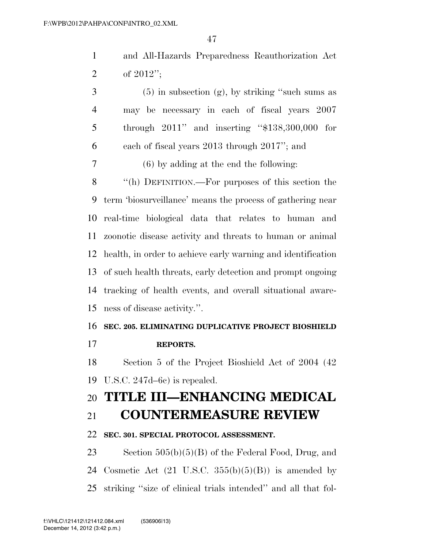and All-Hazards Preparedness Reauthorization Act of 2012'';

 $3 \t\t (5)$  in subsection (g), by striking "such sums as may be necessary in each of fiscal years 2007 through 2011'' and inserting ''\$138,300,000 for each of fiscal years 2013 through 2017''; and (6) by adding at the end the following: ''(h) DEFINITION.—For purposes of this section the term 'biosurveillance' means the process of gathering near real-time biological data that relates to human and zoonotic disease activity and threats to human or animal health, in order to achieve early warning and identification of such health threats, early detection and prompt ongoing tracking of health events, and overall situational aware-ness of disease activity.''.

### **SEC. 205. ELIMINATING DUPLICATIVE PROJECT BIOSHIELD**

**REPORTS.** 

 Section 5 of the Project Bioshield Act of 2004 (42 U.S.C. 247d–6c) is repealed.

# **TITLE III—ENHANCING MEDICAL**

## **COUNTERMEASURE REVIEW**

### **SEC. 301. SPECIAL PROTOCOL ASSESSMENT.**

 Section 505(b)(5)(B) of the Federal Food, Drug, and 24 Cosmetic Act  $(21 \text{ U.S.C. } 355(b)(5)(B))$  is amended by striking ''size of clinical trials intended'' and all that fol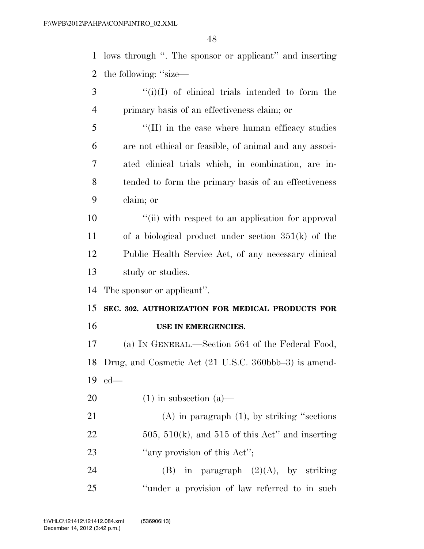lows through ''. The sponsor or applicant'' and inserting the following: ''size—

- ''(i)(I) of clinical trials intended to form the primary basis of an effectiveness claim; or
- 5 "(II) in the case where human efficacy studies are not ethical or feasible, of animal and any associ- ated clinical trials which, in combination, are in- tended to form the primary basis of an effectiveness claim; or
- 10  $\frac{1}{10}$  ''(ii) with respect to an application for approval of a biological product under section 351(k) of the Public Health Service Act, of any necessary clinical study or studies.

The sponsor or applicant''.

 **SEC. 302. AUTHORIZATION FOR MEDICAL PRODUCTS FOR USE IN EMERGENCIES.** 

 (a) IN GENERAL.—Section 564 of the Federal Food, Drug, and Cosmetic Act (21 U.S.C. 360bbb–3) is amend-ed—

20  $(1)$  in subsection  $(a)$ —

 (A) in paragraph (1), by striking ''sections 22  $505, 510(k)$ , and  $515$  of this Act" and inserting 23 "any provision of this Act";

24 (B) in paragraph  $(2)(A)$ , by striking ''under a provision of law referred to in such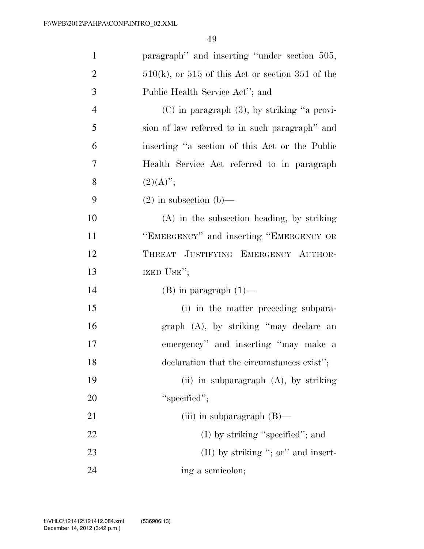| $\mathbf{1}$   | paragraph" and inserting "under section 505,          |
|----------------|-------------------------------------------------------|
| $\overline{2}$ | $510(k)$ , or $515$ of this Act or section 351 of the |
| 3              | Public Health Service Act"; and                       |
| $\overline{4}$ | $(C)$ in paragraph $(3)$ , by striking "a provi-      |
| 5              | sion of law referred to in such paragraph" and        |
| 6              | inserting "a section of this Act or the Public        |
| 7              | Health Service Act referred to in paragraph           |
| 8              | $(2)(A)$ ";                                           |
| 9              | $(2)$ in subsection $(b)$ —                           |
| 10             | $(A)$ in the subsection heading, by striking          |
| 11             | "EMERGENCY" and inserting "EMERGENCY OR               |
| 12             | THREAT JUSTIFYING EMERGENCY AUTHOR-                   |
| 13             | IZED USE";                                            |
| 14             | $(B)$ in paragraph $(1)$ —                            |
| 15             | (i) in the matter preceding subpara-                  |
| 16             | graph (A), by striking "may declare an                |
| 17             | emergency" and inserting "may make a                  |
| 18             | declaration that the circumstances exist";            |
| 19             | (ii) in subparagraph $(A)$ , by striking              |
| 20             | "specified";                                          |
| 21             | (iii) in subparagraph $(B)$ —                         |
| 22             | $(I)$ by striking "specified"; and                    |
| 23             | $(II)$ by striking "; or" and insert-                 |
| 24             | ing a semicolon;                                      |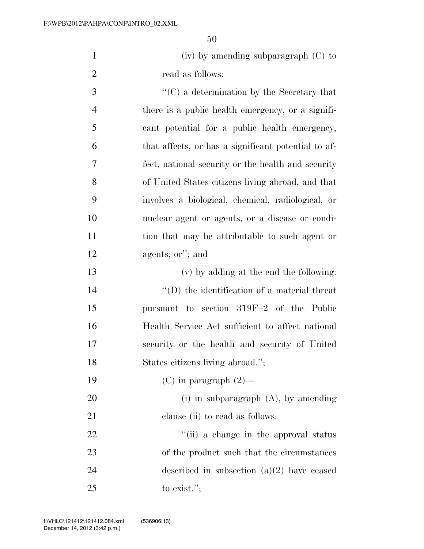| $(iv)$ by amending subparagraph $(C)$ to |
|------------------------------------------|
| read as follows:                         |

 ''(C) a determination by the Secretary that there is a public health emergency, or a signifi- cant potential for a public health emergency, that affects, or has a significant potential to af- fect, national security or the health and security of United States citizens living abroad, and that involves a biological, chemical, radiological, or nuclear agent or agents, or a disease or condi- tion that may be attributable to such agent or agents; or''; and

 (v) by adding at the end the following:  $\langle (D)$  the identification of a material threat pursuant to section 319F–2 of the Public Health Service Act sufficient to affect national security or the health and security of United States citizens living abroad.'';

19 (C) in paragraph  $(2)$ —

 (i) in subparagraph (A), by amending 21 clause (ii) to read as follows:

22 ''(ii) a change in the approval status 23 of the product such that the circumstances described in subsection (a)(2) have ceased to exist.'';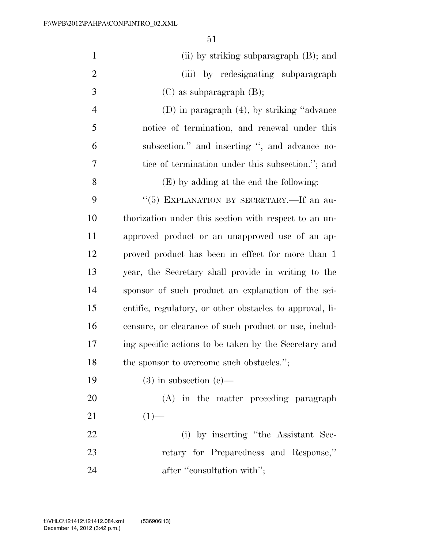| $\mathbf{1}$   | (ii) by striking subparagraph (B); and                   |
|----------------|----------------------------------------------------------|
| $\overline{2}$ | (iii) by redesignating subparagraph                      |
| 3              | $(C)$ as subparagraph $(B)$ ;                            |
| 4              | $(D)$ in paragraph $(4)$ , by striking "advance"         |
| 5              | notice of termination, and renewal under this            |
| 6              | subsection." and inserting ", and advance no-            |
| 7              | tice of termination under this subsection."; and         |
| 8              | (E) by adding at the end the following:                  |
| 9              | "(5) EXPLANATION BY SECRETARY.—If an au-                 |
| 10             | thorization under this section with respect to an un-    |
| 11             | approved product or an unapproved use of an ap-          |
| 12             | proved product has been in effect for more than 1        |
| 13             | year, the Secretary shall provide in writing to the      |
| 14             | sponsor of such product an explanation of the sci-       |
| 15             | entific, regulatory, or other obstacles to approval, li- |
| 16             | censure, or clearance of such product or use, includ-    |
| 17             | ing specific actions to be taken by the Secretary and    |
| 18             | the sponsor to overcome such obstacles.";                |
| 19             | $(3)$ in subsection $(e)$ —                              |
| 20             | (A) in the matter preceding paragraph                    |
| 21             | $(1)$ —                                                  |
| 22             | (i) by inserting "the Assistant Sec-                     |
| 23             | retary for Preparedness and Response,"                   |
| 24             | after "consultation with";                               |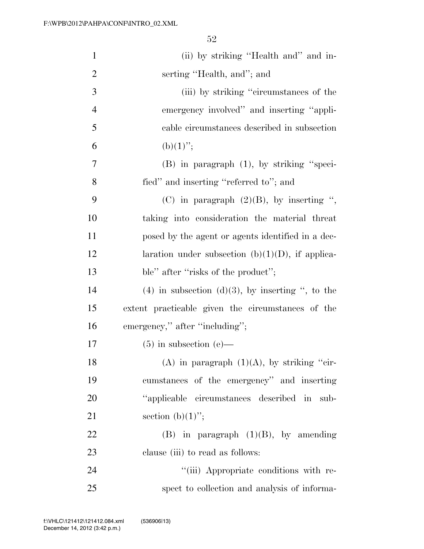| $\mathbf{1}$   | (ii) by striking "Health and" and in-                 |
|----------------|-------------------------------------------------------|
| $\overline{2}$ | serting "Health, and"; and                            |
| 3              | (iii) by striking "circumstances of the               |
| $\overline{4}$ | emergency involved" and inserting "appli-             |
| 5              | cable circumstances described in subsection           |
| 6              | $(b)(1)$ ";                                           |
| 7              | $(B)$ in paragraph $(1)$ , by striking "speci-        |
| 8              | fied" and inserting "referred to"; and                |
| 9              | (C) in paragraph $(2)(B)$ , by inserting ",           |
| 10             | taking into consideration the material threat         |
| 11             | posed by the agent or agents identified in a dec-     |
| 12             | laration under subsection (b) $(1)(D)$ , if applica-  |
| 13             | ble" after "risks of the product";                    |
| 14             | $(4)$ in subsection $(d)(3)$ , by inserting ", to the |
| 15             | extent practicable given the circumstances of the     |
| 16             | emergency," after "including";                        |
| 17             | $(5)$ in subsection (e)—                              |
| 18             | (A) in paragraph $(1)(A)$ , by striking "cir-         |
| 19             | cumstances of the emergency" and inserting            |
| 20             | "applicable circumstances described in sub-           |
| 21             | section $(b)(1)$ ";                                   |
| 22             | $(B)$ in paragraph $(1)(B)$ , by amending             |
| 23             | clause (iii) to read as follows:                      |
| 24             | "(iii) Appropriate conditions with re-                |
| 25             | spect to collection and analysis of informa-          |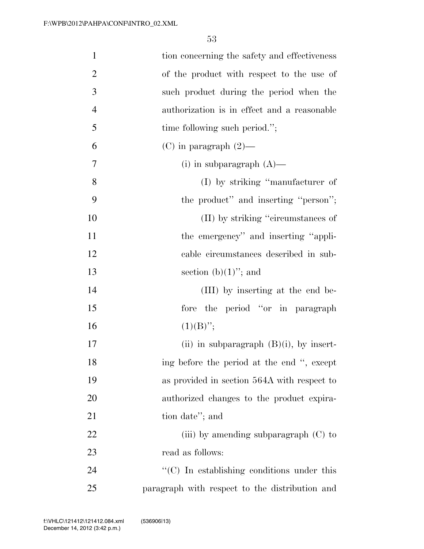| $\mathbf{1}$   | tion concerning the safety and effectiveness           |
|----------------|--------------------------------------------------------|
| $\overline{2}$ | of the product with respect to the use of              |
| 3              | such product during the period when the                |
| $\overline{4}$ | authorization is in effect and a reasonable            |
| 5              | time following such period.";                          |
| 6              | $(C)$ in paragraph $(2)$ —                             |
| 7              | (i) in subparagraph $(A)$ —                            |
| 8              | (I) by striking "manufacturer of                       |
| 9              | the product" and inserting "person";                   |
| 10             | (II) by striking "circumstances of                     |
| 11             | the emergency" and inserting "appli-                   |
| 12             | cable circumstances described in sub-                  |
| 13             | section $(b)(1)$ "; and                                |
| 14             | (III) by inserting at the end be-                      |
| 15             | the period "or in paragraph"<br>fore                   |
| 16             | $(1)(B)$ ";                                            |
| 17             | (ii) in subparagraph $(B)(i)$ , by insert-             |
| 18             | ing before the period at the end ", except             |
| 19             | as provided in section 564A with respect to            |
| 20             | authorized changes to the product expira-              |
| 21             | tion date"; and                                        |
| 22             | (iii) by amending subparagraph $(C)$ to                |
| 23             | read as follows:                                       |
| 24             | $\cdot\cdot$ (C) In establishing conditions under this |
| 25             | paragraph with respect to the distribution and         |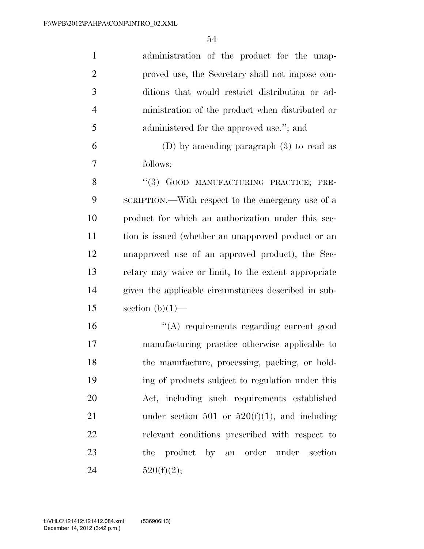| $\mathbf{1}$   | administration of the product for the unap-          |
|----------------|------------------------------------------------------|
| $\overline{2}$ | proved use, the Secretary shall not impose con-      |
| 3              | ditions that would restrict distribution or ad-      |
| $\overline{4}$ | ministration of the product when distributed or      |
| 5              | administered for the approved use."; and             |
| 6              | (D) by amending paragraph $(3)$ to read as           |
| 7              | follows:                                             |
| 8              | "(3) GOOD MANUFACTURING PRACTICE; PRE-               |
| 9              | SCRIPTION.—With respect to the emergency use of a    |
| 10             | product for which an authorization under this sec-   |
| 11             | tion is issued (whether an unapproved product or an  |
| 12             | unapproved use of an approved product), the Sec-     |
| 13             | retary may waive or limit, to the extent appropriate |
| 14             | given the applicable circumstances described in sub- |
| 15             | section $(b)(1)$ —                                   |
| 16             | "(A) requirements regarding current good             |
| 17             | manufacturing practice otherwise applicable to       |
| 18             | the manufacture, processing, packing, or hold-       |
| 19             | ing of products subject to regulation under this     |
| 20             | Act, including such requirements established         |
| 21             | under section 501 or $520(f)(1)$ , and including     |
| 22             | relevant conditions prescribed with respect to       |
| 23             | the product by an order under section                |
| 24             | 520(f)(2);                                           |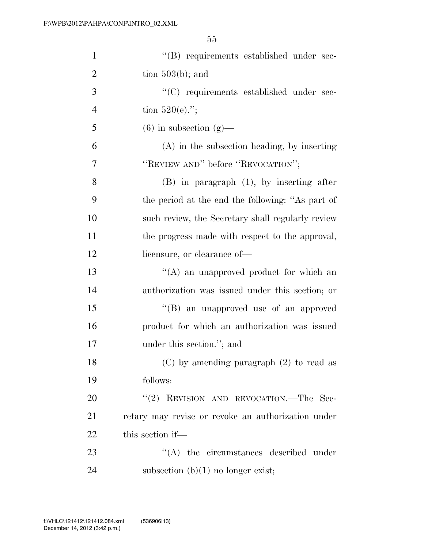| $\mathbf{1}$   | "(B) requirements established under sec-           |
|----------------|----------------------------------------------------|
| $\overline{2}$ | tion $503(b)$ ; and                                |
| 3              | "(C) requirements established under sec-           |
| $\overline{4}$ | tion $520(e)$ .";                                  |
| 5              | $(6)$ in subsection $(g)$ —                        |
| 6              | (A) in the subsection heading, by inserting        |
| 7              | "REVIEW AND" before "REVOCATION";                  |
| 8              | $(B)$ in paragraph $(1)$ , by inserting after      |
| 9              | the period at the end the following: "As part of   |
| 10             | such review, the Secretary shall regularly review  |
| 11             | the progress made with respect to the approval,    |
| 12             | licensure, or clearance of—                        |
| 13             | $\lq\lq$ an unapproved product for which an        |
| 14             | authorization was issued under this section; or    |
| 15             | "(B) an unapproved use of an approved              |
| 16             | product for which an authorization was issued      |
| 17             | under this section."; and                          |
| 18             | $(C)$ by amending paragraph $(2)$ to read as       |
| 19             | follows:                                           |
| 20             | "(2) REVISION AND REVOCATION.—The Sec-             |
| 21             | retary may revise or revoke an authorization under |
| 22             | this section if—                                   |
| 23             | $\lq\lq$ the circumstances described under         |
| 24             | subsection $(b)(1)$ no longer exist;               |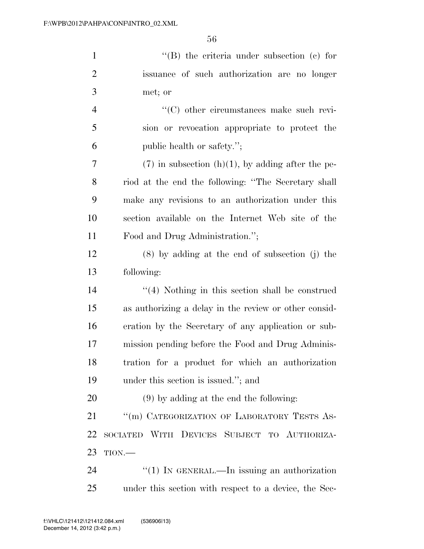| $\mathbf{1}$   | "(B) the criteria under subsection (c) for            |
|----------------|-------------------------------------------------------|
| $\overline{2}$ | issuance of such authorization are no longer          |
| 3              | met; or                                               |
| $\overline{4}$ | "(C) other circumstances make such revi-              |
| 5              | sion or revocation appropriate to protect the         |
| 6              | public health or safety.";                            |
| 7              | $(7)$ in subsection (h)(1), by adding after the pe-   |
| 8              | riod at the end the following: "The Secretary shall   |
| 9              | make any revisions to an authorization under this     |
| 10             | section available on the Internet Web site of the     |
| 11             | Food and Drug Administration.";                       |
| 12             | $(8)$ by adding at the end of subsection (j) the      |
| 13             | following:                                            |
| 14             | $\lq(4)$ Nothing in this section shall be construed   |
| 15             | as authorizing a delay in the review or other consid- |
| 16             | eration by the Secretary of any application or sub-   |
| 17             | mission pending before the Food and Drug Adminis-     |
| 18             | tration for a product for which an authorization      |
| 19             | under this section is issued."; and                   |
| 20             | $(9)$ by adding at the end the following:             |
| 21             | "(m) CATEGORIZATION OF LABORATORY TESTS AS-           |
| 22             | SOCIATED WITH DEVICES SUBJECT TO AUTHORIZA-           |
|                |                                                       |

- TION.—
- 24 ''(1) IN GENERAL.—In issuing an authorization under this section with respect to a device, the Sec-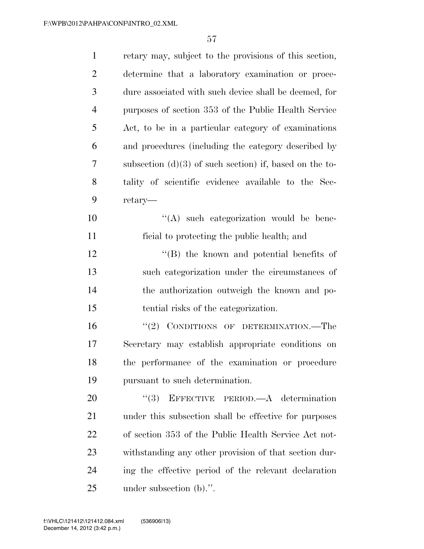| $\mathbf{1}$   | retary may, subject to the provisions of this section,    |
|----------------|-----------------------------------------------------------|
| $\overline{2}$ | determine that a laboratory examination or proce-         |
| 3              | dure associated with such device shall be deemed, for     |
| $\overline{4}$ | purposes of section 353 of the Public Health Service      |
| 5              | Act, to be in a particular category of examinations       |
| 6              | and procedures (including the category described by       |
| $\tau$         | subsection $(d)(3)$ of such section) if, based on the to- |
| 8              | tality of scientific evidence available to the Sec-       |
| 9              | retary—                                                   |
| 10             | $\lq\lq$ such categorization would be bene-               |
| 11             | ficial to protecting the public health; and               |
| 12             | $\lq\lq$ the known and potential benefits of              |
| 13             | such categorization under the circumstances of            |
| 14             | the authorization outweigh the known and po-              |
| 15             | tential risks of the categorization.                      |
| 16             | $``(2)$ CONDITIONS OF DETERMINATION.—The                  |
| 17             | Secretary may establish appropriate conditions on         |
| 18             | the performance of the examination or procedure           |
| 19             | pursuant to such determination.                           |
| 20             | EFFECTIVE PERIOD.—A determination<br>(3)                  |
| 21             | under this subsection shall be effective for purposes     |
| 22             | of section 353 of the Public Health Service Act not-      |
| 23             | withstanding any other provision of that section dur-     |
| 24             | ing the effective period of the relevant declaration      |
| 25             | under subsection (b).".                                   |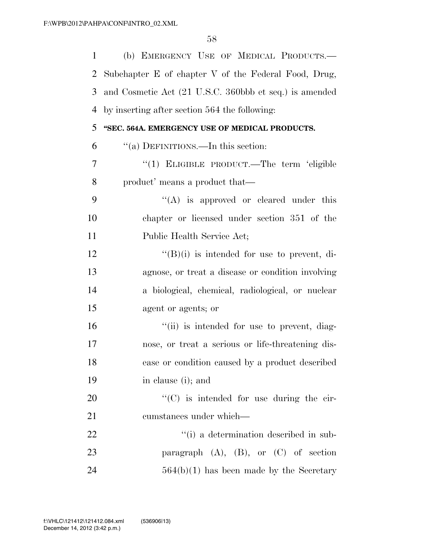| $\mathbf{1}$ | (b) EMERGENCY USE OF MEDICAL PRODUCTS.-                |
|--------------|--------------------------------------------------------|
| 2            | Subchapter E of chapter V of the Federal Food, Drug,   |
| 3            | and Cosmetic Act (21 U.S.C. 360bbb et seq.) is amended |
| 4            | by inserting after section 564 the following:          |
| 5            | "SEC. 564A. EMERGENCY USE OF MEDICAL PRODUCTS.         |
| 6            | "(a) DEFINITIONS.—In this section:                     |
| 7            | "(1) ELIGIBLE PRODUCT.—The term 'eligible              |
| 8            | product' means a product that—                         |
| 9            | $\lq\lq$ is approved or cleared under this             |
| 10           | chapter or licensed under section 351 of the           |
| 11           | Public Health Service Act;                             |
| 12           | $\lq\lq(B)(i)$ is intended for use to prevent, di-     |
| 13           | agnose, or treat a disease or condition involving      |
| 14           | a biological, chemical, radiological, or nuclear       |
| 15           | agent or agents; or                                    |
| 16           | "(ii) is intended for use to prevent, diag-            |
| 17           | nose, or treat a serious or life-threatening dis-      |
| 18           | ease or condition caused by a product described        |
| 19           | in clause (i); and                                     |
| 20           | "(C) is intended for use during the cir-               |
| 21           | cumstances under which—                                |
| 22           | "(i) a determination described in sub-                 |
| 23           | paragraph $(A)$ , $(B)$ , or $(C)$ of section          |
| 24           | $564(b)(1)$ has been made by the Secretary             |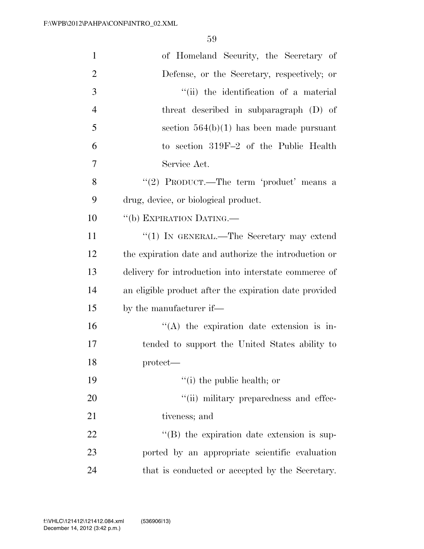| $\mathbf{1}$   | of Homeland Security, the Secretary of                 |
|----------------|--------------------------------------------------------|
| $\overline{2}$ | Defense, or the Secretary, respectively; or            |
| 3              | "(ii) the identification of a material                 |
| $\overline{4}$ | threat described in subparagraph (D) of                |
| 5              | section $564(b)(1)$ has been made pursuant             |
| 6              | to section 319F-2 of the Public Health                 |
| 7              | Service Act.                                           |
| 8              | "(2) PRODUCT.—The term 'product' means a               |
| 9              | drug, device, or biological product.                   |
| 10             | "(b) EXPIRATION DATING.                                |
| 11             | "(1) IN GENERAL.—The Secretary may extend              |
| 12             | the expiration date and authorize the introduction or  |
| 13             | delivery for introduction into interstate commerce of  |
| 14             | an eligible product after the expiration date provided |
| 15             | by the manufacturer if—                                |
| 16             | $\lq\lq$ the expiration date extension is in-          |
| 17             | tended to support the United States ability to         |
| 18             | $protect$ —                                            |
| 19             | $f'(i)$ the public health; or                          |
| 20             | "(ii) military preparedness and effec-                 |
| 21             | tiveness; and                                          |
| 22             | $\lq\lq$ the expiration date extension is sup-         |
| 23             | ported by an appropriate scientific evaluation         |
| 24             | that is conducted or accepted by the Secretary.        |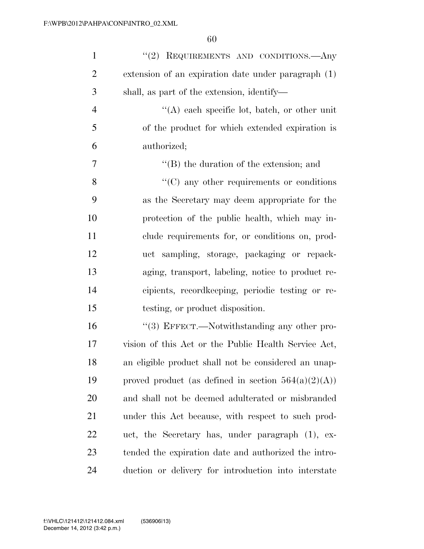| $\mathbf{1}$   | "(2) REQUIREMENTS AND CONDITIONS.—Any                  |
|----------------|--------------------------------------------------------|
| $\overline{2}$ | extension of an expiration date under paragraph (1)    |
| 3              | shall, as part of the extension, identify—             |
| $\overline{4}$ | $\lq\lq$ each specific lot, batch, or other unit       |
| 5              | of the product for which extended expiration is        |
| 6              | authorized;                                            |
| 7              | $\lq\lq (B)$ the duration of the extension; and        |
| 8              | $\cdot$ (C) any other requirements or conditions       |
| 9              | as the Secretary may deem appropriate for the          |
| 10             | protection of the public health, which may in-         |
| 11             | clude requirements for, or conditions on, prod-        |
| 12             | uct sampling, storage, packaging or repack-            |
| 13             | aging, transport, labeling, notice to product re-      |
| 14             | cipients, recordkeeping, periodic testing or re-       |
| 15             | testing, or product disposition.                       |
| 16             | "(3) EFFECT.—Notwithstanding any other pro-            |
| 17             | vision of this Act or the Public Health Service Act,   |
| 18             | an eligible product shall not be considered an unap-   |
| 19             | proved product (as defined in section $564(a)(2)(A)$ ) |
| 20             | and shall not be deemed adulterated or misbranded      |
| 21             | under this Act because, with respect to such prod-     |
| 22             | uct, the Secretary has, under paragraph (1), ex-       |
| 23             | tended the expiration date and authorized the intro-   |
| 24             | duction or delivery for introduction into interstate   |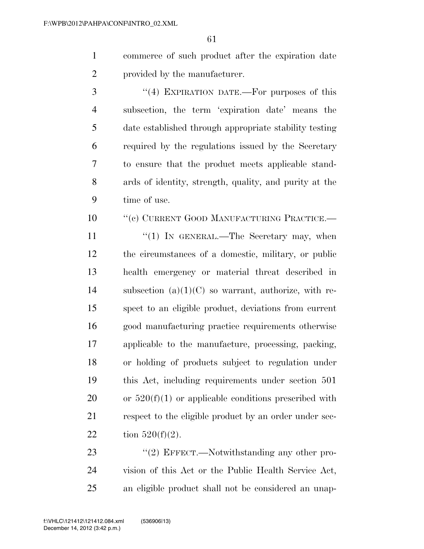- commerce of such product after the expiration date provided by the manufacturer.
- 3 "(4) EXPIRATION DATE.—For purposes of this subsection, the term 'expiration date' means the date established through appropriate stability testing required by the regulations issued by the Secretary to ensure that the product meets applicable stand- ards of identity, strength, quality, and purity at the time of use.
- 10 "'(c) CURRENT GOOD MANUFACTURING PRACTICE.—
- 11  $\frac{u(1)}{N}$  IN GENERAL.—The Secretary may, when the circumstances of a domestic, military, or public health emergency or material threat described in 14 subsection  $(a)(1)(C)$  so warrant, authorize, with re- spect to an eligible product, deviations from current good manufacturing practice requirements otherwise applicable to the manufacture, processing, packing, or holding of products subject to regulation under this Act, including requirements under section 501 20 or  $520(f)(1)$  or applicable conditions prescribed with 21 respect to the eligible product by an order under sec-22 tion  $520(f)(2)$ .
- 23 "(2) EFFECT.—Notwithstanding any other pro- vision of this Act or the Public Health Service Act, an eligible product shall not be considered an unap-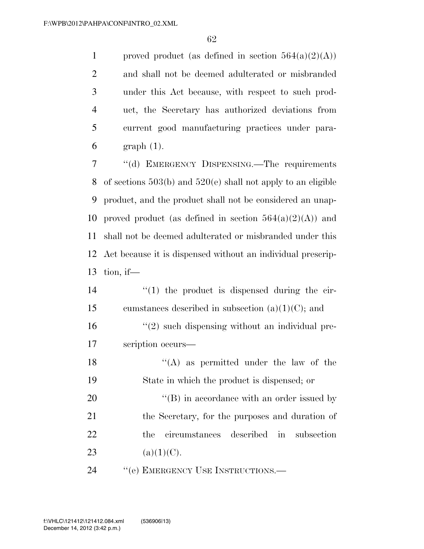1 proved product (as defined in section  $564(a)(2)(A)$ ) and shall not be deemed adulterated or misbranded under this Act because, with respect to such prod- uct, the Secretary has authorized deviations from current good manufacturing practices under para-graph (1).

 ''(d) EMERGENCY DISPENSING.—The requirements of sections 503(b) and 520(e) shall not apply to an eligible product, and the product shall not be considered an unap-10 proved product (as defined in section  $564(a)(2)(A)$ ) and shall not be deemed adulterated or misbranded under this Act because it is dispensed without an individual prescrip-tion, if—

- 14  $\frac{1}{2}$   $\frac{1}{2}$  the product is dispensed during the cir-15 cumstances described in subsection  $(a)(1)(C)$ ; and  $\frac{16}{2}$  ''(2) such dispensing without an individual pre-17 scription occurs—
- 18  $\langle (A)$  as permitted under the law of the 19 State in which the product is dispensed; or 20  $\langle (B) \rangle$  in accordance with an order issued by 21 the Secretary, for the purposes and duration of 22 the circumstances described in subsection 23 (a)(1)(C).

24 " (e) EMERGENCY USE INSTRUCTIONS.—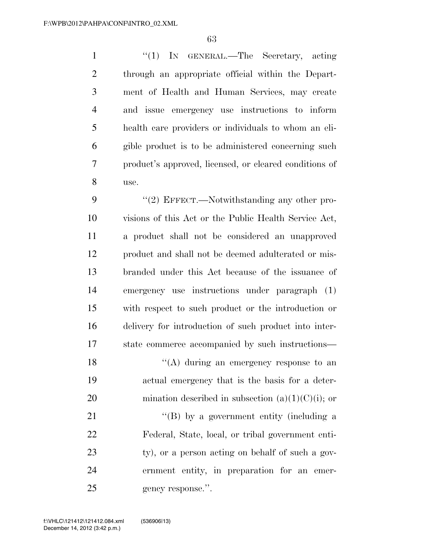1 ''(1) IN GENERAL.—The Secretary, acting through an appropriate official within the Depart- ment of Health and Human Services, may create and issue emergency use instructions to inform health care providers or individuals to whom an eli- gible product is to be administered concerning such product's approved, licensed, or cleared conditions of use.

9 "(2) EFFECT.—Notwithstanding any other pro- visions of this Act or the Public Health Service Act, a product shall not be considered an unapproved product and shall not be deemed adulterated or mis- branded under this Act because of the issuance of emergency use instructions under paragraph (1) with respect to such product or the introduction or delivery for introduction of such product into inter-state commerce accompanied by such instructions—

18  $\langle (A)$  during an emergency response to an actual emergency that is the basis for a deter-20 mination described in subsection  $(a)(1)(C)(i)$ ; or

21 ''(B) by a government entity (including a Federal, State, local, or tribal government enti-23 ty), or a person acting on behalf of such a gov- ernment entity, in preparation for an emer-25 gency response.".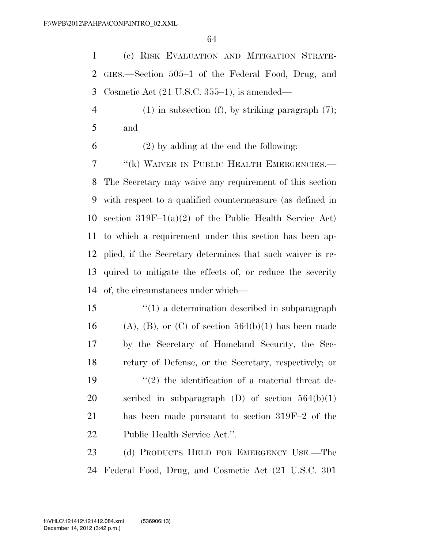(c) RISK EVALUATION AND MITIGATION STRATE- GIES.—Section 505–1 of the Federal Food, Drug, and Cosmetic Act (21 U.S.C. 355–1), is amended—

 (1) in subsection (f), by striking paragraph (7); and

(2) by adding at the end the following:

7 "(k) WAIVER IN PUBLIC HEALTH EMERGENCIES.— The Secretary may waive any requirement of this section with respect to a qualified countermeasure (as defined in section 319F–1(a)(2) of the Public Health Service Act) to which a requirement under this section has been ap- plied, if the Secretary determines that such waiver is re- quired to mitigate the effects of, or reduce the severity of, the circumstances under which—

 ''(1) a determination described in subparagraph 16 (A), (B), or (C) of section  $564(b)(1)$  has been made by the Secretary of Homeland Security, the Sec- retary of Defense, or the Secretary, respectively; or  $\frac{1}{2}$  the identification of a material threat de-20 scribed in subparagraph  $(D)$  of section  $564(b)(1)$  has been made pursuant to section 319F–2 of the Public Health Service Act.''.

23 (d) PRODUCTS HELD FOR EMERGENCY USE.—The Federal Food, Drug, and Cosmetic Act (21 U.S.C. 301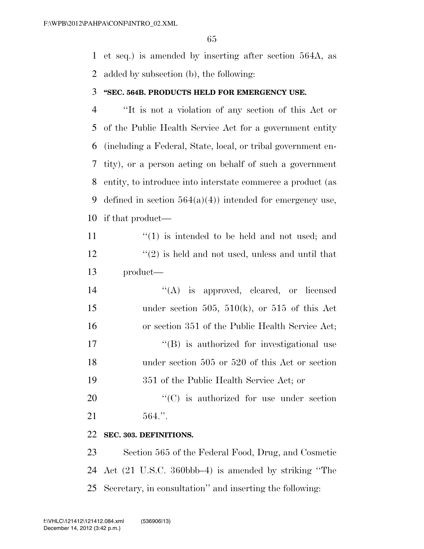et seq.) is amended by inserting after section 564A, as added by subsection (b), the following:

#### **''SEC. 564B. PRODUCTS HELD FOR EMERGENCY USE.**

 ''It is not a violation of any section of this Act or of the Public Health Service Act for a government entity (including a Federal, State, local, or tribal government en- tity), or a person acting on behalf of such a government entity, to introduce into interstate commerce a product (as 9 defined in section  $564(a)(4)$  intended for emergency use, if that product—

11  $\langle (1)$  is intended to be held and not used; and  $\binom{12}{2}$  is held and not used, unless and until that product—

 $((A)$  is approved, cleared, or licensed 15 under section 505, 510(k), or 515 of this Act or section 351 of the Public Health Service Act;  $\langle G \rangle$  is authorized for investigational use under section 505 or 520 of this Act or section 351 of the Public Health Service Act; or

20  $\cdot$  (C) is authorized for use under section 564.''.

#### **SEC. 303. DEFINITIONS.**

 Section 565 of the Federal Food, Drug, and Cosmetic Act (21 U.S.C. 360bbb–4) is amended by striking ''The Secretary, in consultation'' and inserting the following: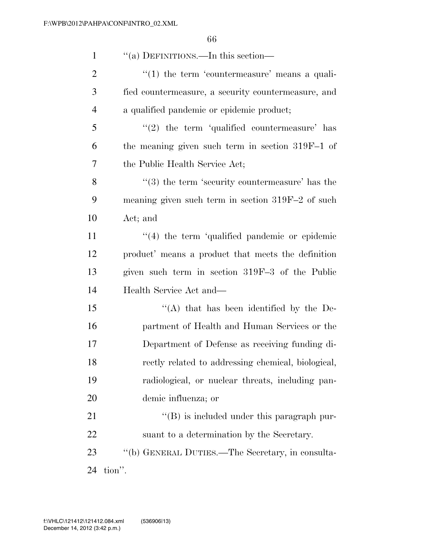| $\mathbf{1}$   | "(a) DEFINITIONS.—In this section—                          |
|----------------|-------------------------------------------------------------|
| $\overline{2}$ | $\lq(1)$ the term 'countermeasure' means a quali-           |
| 3              | fied countermeasure, a security countermeasure, and         |
| $\overline{4}$ | a qualified pandemic or epidemic product;                   |
| 5              | $(2)$ the term 'qualified countermeasure' has               |
| 6              | the meaning given such term in section 319F-1 of            |
| 7              | the Public Health Service Act;                              |
| 8              | $\cdot\cdot$ (3) the term 'security countermeasure' has the |
| 9              | meaning given such term in section $319F-2$ of such         |
| 10             | Act; and                                                    |
| 11             | $\lq(4)$ the term 'qualified pandemic or epidemic           |
| 12             | product' means a product that meets the definition          |
| 13             | given such term in section 319F-3 of the Public             |
| 14             | Health Service Act and—                                     |
| 15             | "(A) that has been identified by the De-                    |
| 16             | partment of Health and Human Services or the                |
| 17             | Department of Defense as receiving funding di-              |
| 18             | rectly related to addressing chemical, biological,          |
| 19             | radiological, or nuclear threats, including pan-            |
| 20             | demic influenza; or                                         |
| 21             | $\lq\lq (B)$ is included under this paragraph pur-          |
| 22             | suant to a determination by the Secretary.                  |
| 23             | "(b) GENERAL DUTIES.—The Secretary, in consulta-            |
| 24             | tion".                                                      |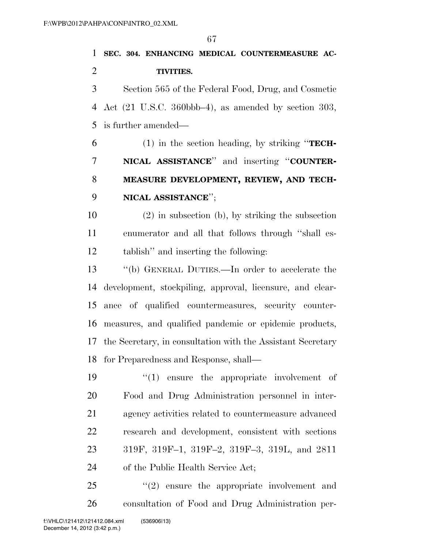**SEC. 304. ENHANCING MEDICAL COUNTERMEASURE AC-TIVITIES.** 

 Section 565 of the Federal Food, Drug, and Cosmetic Act (21 U.S.C. 360bbb–4), as amended by section 303, is further amended—

 (1) in the section heading, by striking ''**TECH- NICAL ASSISTANCE**'' and inserting ''**COUNTER- MEASURE DEVELOPMENT, REVIEW, AND TECH-NICAL ASSISTANCE**'';

 (2) in subsection (b), by striking the subsection enumerator and all that follows through ''shall es-tablish'' and inserting the following:

 ''(b) GENERAL DUTIES.—In order to accelerate the development, stockpiling, approval, licensure, and clear- ance of qualified countermeasures, security counter- measures, and qualified pandemic or epidemic products, the Secretary, in consultation with the Assistant Secretary for Preparedness and Response, shall—

 $\frac{1}{2}$  (1) ensure the appropriate involvement of Food and Drug Administration personnel in inter- agency activities related to countermeasure advanced research and development, consistent with sections 319F, 319F–1, 319F–2, 319F–3, 319L, and 2811 of the Public Health Service Act;

  $(2)$  ensure the appropriate involvement and consultation of Food and Drug Administration per-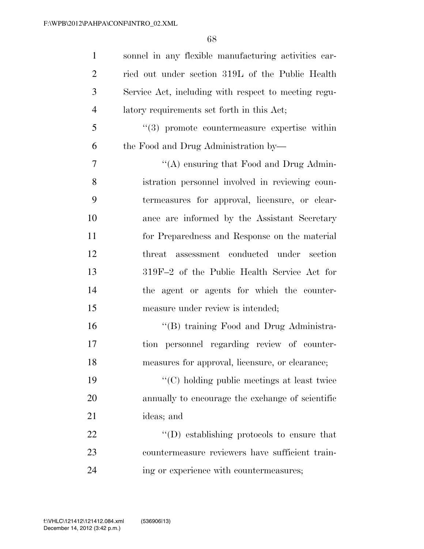sonnel in any flexible manufacturing activities car- ried out under section 319L of the Public Health Service Act, including with respect to meeting regu- latory requirements set forth in this Act; ''(3) promote countermeasure expertise within the Food and Drug Administration by—  $\cdot$  ''(A) ensuring that Food and Drug Admin- istration personnel involved in reviewing coun- termeasures for approval, licensure, or clear- ance are informed by the Assistant Secretary for Preparedness and Response on the material threat assessment conducted under section 319F–2 of the Public Health Service Act for the agent or agents for which the counter-15 measure under review is intended; ''(B) training Food and Drug Administra- tion personnel regarding review of counter- measures for approval, licensure, or clearance; ''(C) holding public meetings at least twice annually to encourage the exchange of scientific ideas; and  $\text{``(D) establishing protocols to ensure that}$  countermeasure reviewers have sufficient train-ing or experience with countermeasures;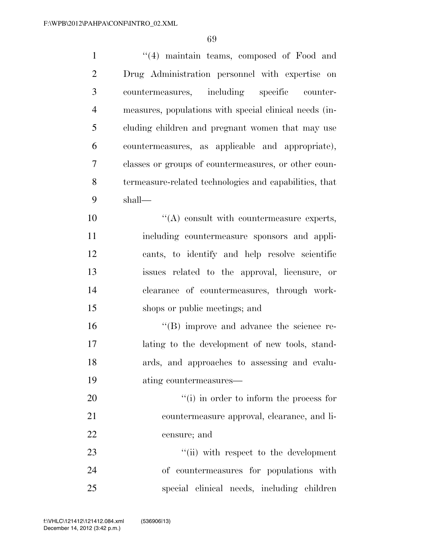| $\mathbf{1}$   | "(4) maintain teams, composed of Food and              |
|----------------|--------------------------------------------------------|
| $\overline{2}$ | Drug Administration personnel with expertise on        |
| 3              | countermeasures, including specific counter-           |
| $\overline{4}$ | measures, populations with special clinical needs (in- |
| 5              | cluding children and pregnant women that may use       |
| 6              | countermeasures, as applicable and appropriate),       |
| $\tau$         | classes or groups of countermeasures, or other coun-   |
| 8              | termeasure-related technologies and capabilities, that |
| 9              | shall—                                                 |
| 10             | $\lq\lq$ consult with countermeasure experts,          |
| 11             | including countermeasure sponsors and appli-           |
| 12             | cants, to identify and help resolve scientific         |
| 13             | issues related to the approval, licensure, or          |
| 14             | clearance of countermeasures, through work-            |
| 15             | shops or public meetings; and                          |
| 16             | $\lq\lq (B)$ improve and advance the science re-       |
| 17             | lating to the development of new tools, stand-         |
| 18             | ards, and approaches to assessing and evalu-           |
| 19             | ating countermeasures—                                 |
| 20             | "(i) in order to inform the process for                |
| 21             | countermeasure approval, clearance, and li-            |
| 22             | censure; and                                           |
| 23             | "(ii) with respect to the development                  |
| 24             | of countermeasures for populations with                |
| 25             | special clinical needs, including children             |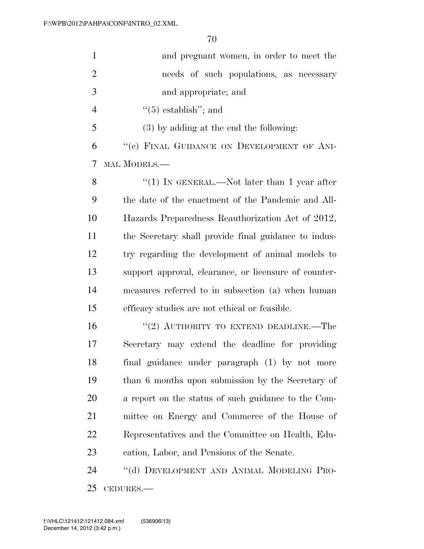| $\mathbf{1}$   | and pregnant women, in order to meet the              |
|----------------|-------------------------------------------------------|
| $\overline{2}$ | needs of such populations, as necessary               |
| 3              | and appropriate; and                                  |
| $\overline{4}$ | $\cdot\cdot$ (5) establish''; and                     |
| 5              | $(3)$ by adding at the end the following:             |
| 6              | "(c) FINAL GUIDANCE ON DEVELOPMENT OF ANI-            |
| 7              | MAL MODELS.—                                          |
| 8              | "(1) IN GENERAL.—Not later than 1 year after          |
| 9              | the date of the enactment of the Pandemic and All-    |
| 10             | Hazards Preparedness Reauthorization Act of 2012,     |
| 11             | the Secretary shall provide final guidance to indus-  |
| 12             | try regarding the development of animal models to     |
| 13             | support approval, clearance, or licensure of counter- |
| 14             | measures referred to in subsection (a) when human     |
| 15             | efficacy studies are not ethical or feasible.         |
| 16             | "(2) AUTHORITY TO EXTEND DEADLINE.—The                |
| 17             | Secretary may extend the deadline for providing       |
| 18             | final guidance under paragraph (1) by not more        |
| 19             | than 6 months upon submission by the Secretary of     |
| 20             | a report on the status of such guidance to the Com-   |
| 21             | mittee on Energy and Commerce of the House of         |
| 22             | Representatives and the Committee on Health, Edu-     |
| 23             | cation, Labor, and Pensions of the Senate.            |
| 24             | "(d) DEVELOPMENT AND ANIMAL MODELING PRO-             |
|                |                                                       |

CEDURES.—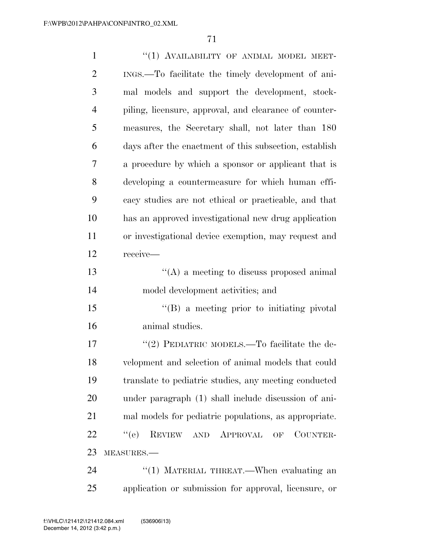| $\mathbf{1}$   | "(1) AVAILABILITY OF ANIMAL MODEL MEET-                |
|----------------|--------------------------------------------------------|
| $\overline{2}$ | INGS.—To facilitate the timely development of ani-     |
| 3              | mal models and support the development, stock-         |
| $\overline{4}$ | piling, licensure, approval, and clearance of counter- |
| 5              | measures, the Secretary shall, not later than 180      |
| 6              | days after the enactment of this subsection, establish |
| 7              | a procedure by which a sponsor or applicant that is    |
| 8              | developing a countermeasure for which human effi-      |
| 9              | cacy studies are not ethical or practicable, and that  |
| 10             | has an approved investigational new drug application   |
| 11             | or investigational device exemption, may request and   |
| 12             | receive-                                               |
| 13             | $\lq\lq$ a meeting to discuss proposed animal          |
| 14             | model development activities; and                      |
| 15             | $\lq\lq (B)$ a meeting prior to initiating pivotal     |
| 16             | animal studies.                                        |
| 17             | "(2) PEDIATRIC MODELS.—To facilitate the de-           |
| 18             | velopment and selection of animal models that could    |
| 19             | translate to pediatric studies, any meeting conducted  |
| 20             | under paragraph (1) shall include discussion of ani-   |
| 21             | mal models for pediatric populations, as appropriate.  |
| 22             | ``(e)<br>REVIEW AND APPROVAL<br>COUNTER-<br>OF         |
| 23             | MEASURES.-                                             |
| 24             | "(1) MATERIAL THREAT.—When evaluating an               |

application or submission for approval, licensure, or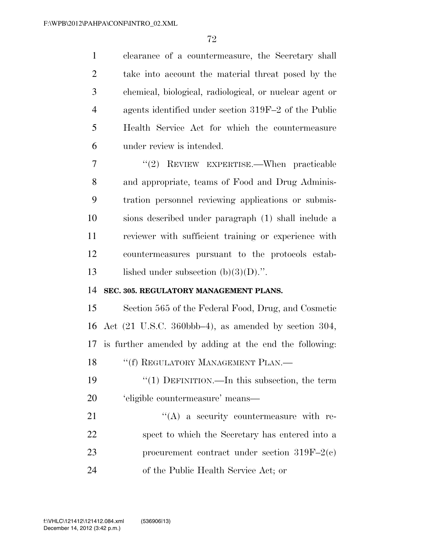clearance of a countermeasure, the Secretary shall take into account the material threat posed by the chemical, biological, radiological, or nuclear agent or agents identified under section 319F–2 of the Public Health Service Act for which the countermeasure under review is intended.

 ''(2) REVIEW EXPERTISE.—When practicable and appropriate, teams of Food and Drug Adminis- tration personnel reviewing applications or submis- sions described under paragraph (1) shall include a reviewer with sufficient training or experience with countermeasures pursuant to the protocols estab-13 lished under subsection  $(b)(3)(D)$ .".

#### **SEC. 305. REGULATORY MANAGEMENT PLANS.**

 Section 565 of the Federal Food, Drug, and Cosmetic Act (21 U.S.C. 360bbb–4), as amended by section 304, is further amended by adding at the end the following: 18 "(f) REGULATORY MANAGEMENT PLAN.—

 ''(1) DEFINITION.—In this subsection, the term 'eligible countermeasure' means—

 $\langle (A)$  a security countermeasure with re- spect to which the Secretary has entered into a procurement contract under section 319F–2(c) of the Public Health Service Act; or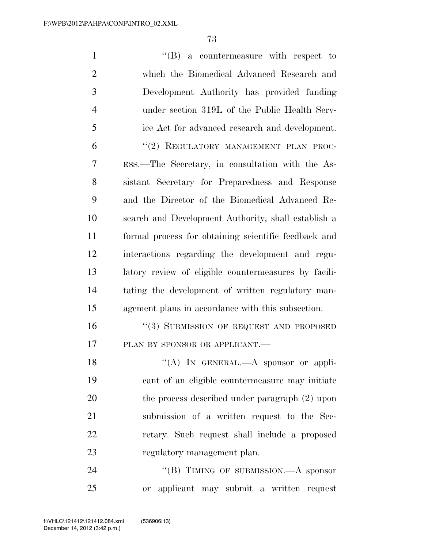| $\mathbf{1}$   | $\lq\lq (B)$ a countermeasure with respect to        |
|----------------|------------------------------------------------------|
| $\overline{2}$ | which the Biomedical Advanced Research and           |
| 3              | Development Authority has provided funding           |
| $\overline{4}$ | under section 319L of the Public Health Serv-        |
| 5              | ice Act for advanced research and development.       |
| 6              | "(2) REGULATORY MANAGEMENT PLAN PROC-                |
| 7              | ESS.—The Secretary, in consultation with the As-     |
| 8              | sistant Secretary for Preparedness and Response      |
| 9              | and the Director of the Biomedical Advanced Re-      |
| 10             | search and Development Authority, shall establish a  |
| 11             | formal process for obtaining scientific feedback and |
| 12             | interactions regarding the development and regu-     |
| 13             | latory review of eligible countermeasures by facili- |
| 14             | tating the development of written regulatory man-    |
| 15             | agement plans in accordance with this subsection.    |
| 16             | "(3) SUBMISSION OF REQUEST AND PROPOSED              |
| 17             | PLAN BY SPONSOR OR APPLICANT.-                       |
| 18             | "(A) IN GENERAL.- A sponsor or appli-                |
| 19             | cant of an eligible countermeasure may initiate      |
| 20             | the process described under paragraph (2) upon       |
| 21             | submission of a written request to the Sec-          |
| 22             | retary. Such request shall include a proposed        |
| 23             | regulatory management plan.                          |
|                |                                                      |

24 ''(B) TIMING OF SUBMISSION.—A sponsor or applicant may submit a written request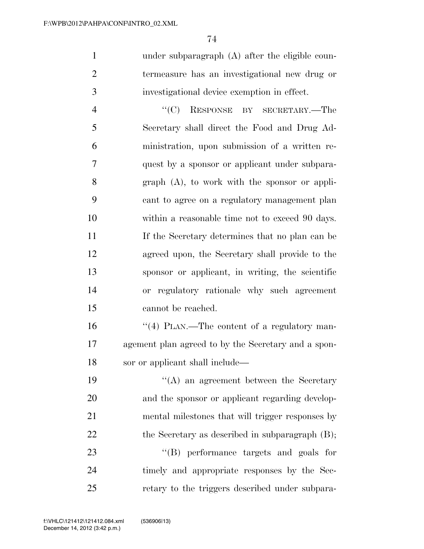under subparagraph (A) after the eligible coun- termeasure has an investigational new drug or investigational device exemption in effect.

 ''(C) RESPONSE BY SECRETARY.—The Secretary shall direct the Food and Drug Ad- ministration, upon submission of a written re- quest by a sponsor or applicant under subpara- graph (A), to work with the sponsor or appli- cant to agree on a regulatory management plan 10 within a reasonable time not to exceed 90 days. If the Secretary determines that no plan can be agreed upon, the Secretary shall provide to the sponsor or applicant, in writing, the scientific or regulatory rationale why such agreement cannot be reached.

16  $\frac{1}{4}$  PLAN.—The content of a regulatory man- agement plan agreed to by the Secretary and a spon-sor or applicant shall include—

 ''(A) an agreement between the Secretary and the sponsor or applicant regarding develop- mental milestones that will trigger responses by 22 the Secretary as described in subparagraph (B);

23 ''(B) performance targets and goals for timely and appropriate responses by the Sec-retary to the triggers described under subpara-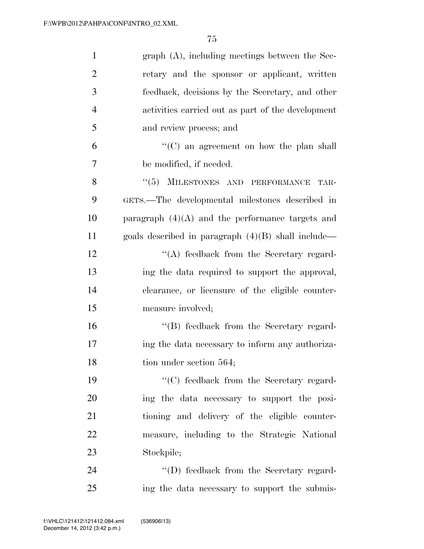| $\mathbf{1}$   | $graph(A)$ , including meetings between the Sec-     |
|----------------|------------------------------------------------------|
| $\overline{2}$ | retary and the sponsor or applicant, written         |
| 3              | feedback, decisions by the Secretary, and other      |
| $\overline{4}$ | activities carried out as part of the development    |
| 5              | and review process; and                              |
| 6              | $\lq\lq$ (C) an agreement on how the plan shall      |
| 7              | be modified, if needed.                              |
| 8              | "(5) MILESTONES AND PERFORMANCE<br>TAR-              |
| 9              | GETS.—The developmental milestones described in      |
| 10             | paragraph $(4)(A)$ and the performance targets and   |
| 11             | goals described in paragraph $(4)(B)$ shall include— |
| 12             | $\lq\lq$ feedback from the Secretary regard-         |
| 13             | ing the data required to support the approval,       |
| 14             | clearance, or licensure of the eligible counter-     |
| 15             | measure involved;                                    |
| 16             | "(B) feedback from the Secretary regard-             |
| 17             | ing the data necessary to inform any authoriza-      |
| 18             | tion under section 564;                              |
| 19             | "(C) feedback from the Secretary regard-             |
| 20             | ing the data necessary to support the posi-          |
| 21             | tioning and delivery of the eligible counter-        |
| 22             | measure, including to the Strategic National         |
| 23             | Stockpile;                                           |
| 24             | $\lq\lq$ feedback from the Secretary regard-         |
| 25             | ing the data necessary to support the submis-        |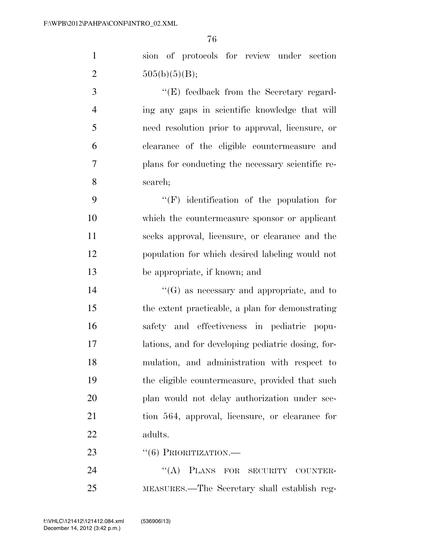sion of protocols for review under section 2  $505(b)(5)(B);$ 

3 ''(E) feedback from the Secretary regard- ing any gaps in scientific knowledge that will need resolution prior to approval, licensure, or clearance of the eligible countermeasure and plans for conducting the necessary scientific re-search;

 ''(F) identification of the population for which the countermeasure sponsor or applicant seeks approval, licensure, or clearance and the population for which desired labeling would not be appropriate, if known; and

 ''(G) as necessary and appropriate, and to the extent practicable, a plan for demonstrating safety and effectiveness in pediatric popu- lations, and for developing pediatric dosing, for- mulation, and administration with respect to the eligible countermeasure, provided that such plan would not delay authorization under sec- tion 564, approval, licensure, or clearance for adults.

23 "(6) PRIORITIZATION.—

24 "(A) PLANS FOR SECURITY COUNTER-MEASURES.—The Secretary shall establish reg-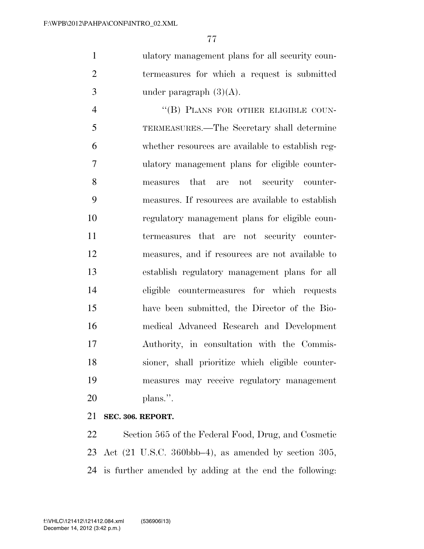ulatory management plans for all security coun- termeasures for which a request is submitted 3 under paragraph  $(3)(A)$ .

4 "(B) PLANS FOR OTHER ELIGIBLE COUN- TERMEASURES.—The Secretary shall determine whether resources are available to establish reg- ulatory management plans for eligible counter- measures that are not security counter- measures. If resources are available to establish regulatory management plans for eligible coun- termeasures that are not security counter- measures, and if resources are not available to establish regulatory management plans for all eligible countermeasures for which requests have been submitted, the Director of the Bio- medical Advanced Research and Development Authority, in consultation with the Commis- sioner, shall prioritize which eligible counter- measures may receive regulatory management plans.''.

## **SEC. 306. REPORT.**

 Section 565 of the Federal Food, Drug, and Cosmetic Act (21 U.S.C. 360bbb–4), as amended by section 305, is further amended by adding at the end the following: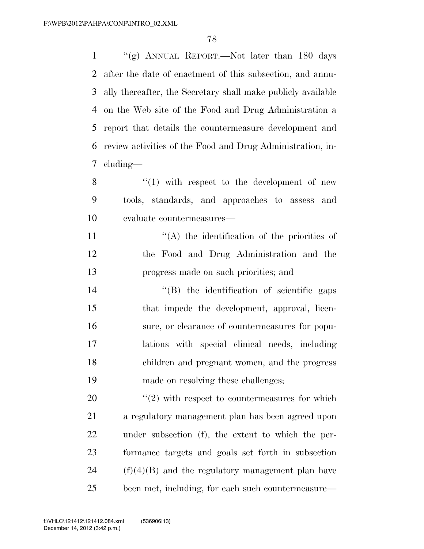$\frac{1}{2}$   $\frac{1}{2}$  ANNUAL REPORT. Not later than 180 days after the date of enactment of this subsection, and annu- ally thereafter, the Secretary shall make publicly available on the Web site of the Food and Drug Administration a report that details the countermeasure development and review activities of the Food and Drug Administration, in-cluding—

 ''(1) with respect to the development of new tools, standards, and approaches to assess and evaluate countermeasures—

11  $\langle (A)$  the identification of the priorities of the Food and Drug Administration and the progress made on such priorities; and

 $\text{``(B)}$  the identification of scientific gaps that impede the development, approval, licen- sure, or clearance of countermeasures for popu- lations with special clinical needs, including children and pregnant women, and the progress made on resolving these challenges;

 $\frac{1}{20}$  <sup>(1</sup>(2) with respect to countermeasures for which a regulatory management plan has been agreed upon under subsection (f), the extent to which the per- formance targets and goals set forth in subsection (f)(4)(B) and the regulatory management plan have been met, including, for each such countermeasure—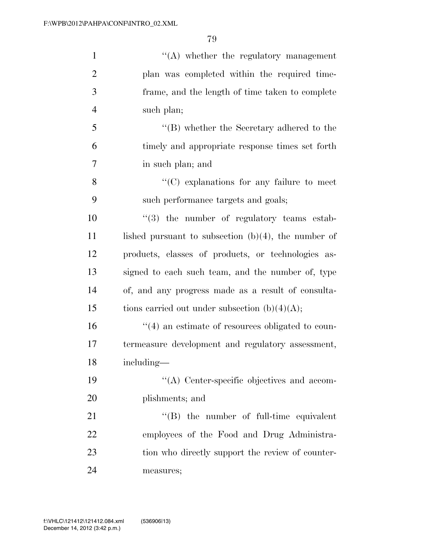| $\mathbf{1}$   | $\lq\lq$ whether the regulatory management              |
|----------------|---------------------------------------------------------|
| $\overline{2}$ | plan was completed within the required time-            |
| 3              | frame, and the length of time taken to complete         |
| $\overline{4}$ | such plan;                                              |
| 5              | $\lq\lq$ (B) whether the Secretary adhered to the       |
| 6              | timely and appropriate response times set forth         |
| 7              | in such plan; and                                       |
| 8              | $\lq\lq$ explanations for any failure to meet           |
| 9              | such performance targets and goals;                     |
| 10             | $(3)$ the number of regulatory teams estab-             |
| 11             | lished pursuant to subsection $(b)(4)$ , the number of  |
| 12             | products, classes of products, or technologies as-      |
| 13             | signed to each such team, and the number of, type       |
| 14             | of, and any progress made as a result of consulta-      |
| 15             | tions carried out under subsection $(b)(4)(A);$         |
| 16             | $\cdot$ (4) an estimate of resources obligated to coun- |
| 17             | termeasure development and regulatory assessment,       |
| 18             | including—                                              |
| 19             | "(A) Center-specific objectives and accom-              |
| 20             | plishments; and                                         |
| 21             | $\lq\lq$ the number of full-time equivalent             |
| 22             | employees of the Food and Drug Administra-              |
| 23             | tion who directly support the review of counter-        |
| 24             | measures;                                               |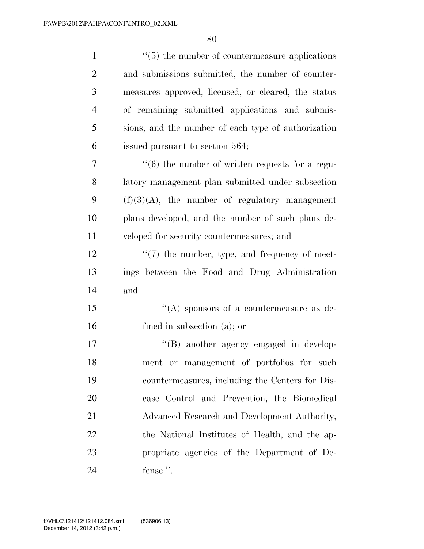| $\mathbf{1}$   | $\cdot\cdot$ (5) the number of countermeasure applications      |
|----------------|-----------------------------------------------------------------|
| $\overline{2}$ | and submissions submitted, the number of counter-               |
| 3              | measures approved, licensed, or cleared, the status             |
| $\overline{4}$ | of remaining submitted applications and submis-                 |
| 5              | sions, and the number of each type of authorization             |
| 6              | issued pursuant to section 564;                                 |
| 7              | $\cdot\cdot\cdot(6)$ the number of written requests for a regu- |
| 8              | latory management plan submitted under subsection               |
| 9              | $(f)(3)(A)$ , the number of regulatory management               |
| 10             | plans developed, and the number of such plans de-               |
| 11             | veloped for security countermeasures; and                       |
| 12             | $\lq(7)$ the number, type, and frequency of meet-               |
| 13             | ings between the Food and Drug Administration                   |
| 14             | $and$ —                                                         |
| 15             | "(A) sponsors of a countermeasure as de-                        |
| 16             | fined in subsection $(a)$ ; or                                  |
| 17             | "(B) another agency engaged in develop-                         |
| 18             | ment or management of portfolios for such                       |
| 19             | countermeasures, including the Centers for Dis-                 |
| 20             | ease Control and Prevention, the Biomedical                     |
| 21             | Advanced Research and Development Authority,                    |
| 22             | the National Institutes of Health, and the ap-                  |
| 23             | propriate agencies of the Department of De-                     |
| 24             | fense.".                                                        |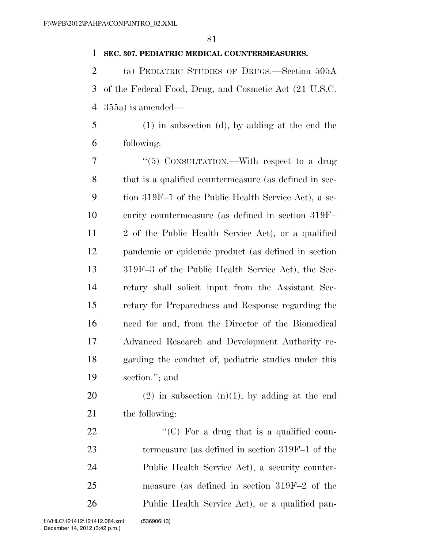## **SEC. 307. PEDIATRIC MEDICAL COUNTERMEASURES.**

 (a) PEDIATRIC STUDIES OF DRUGS.—Section 505A of the Federal Food, Drug, and Cosmetic Act (21 U.S.C. 355a) is amended—

 (1) in subsection (d), by adding at the end the following:

7 "(5) CONSULTATION.—With respect to a drug that is a qualified countermeasure (as defined in sec- tion 319F–1 of the Public Health Service Act), a se- curity countermeasure (as defined in section 319F– 2 of the Public Health Service Act), or a qualified pandemic or epidemic product (as defined in section 319F–3 of the Public Health Service Act), the Sec- retary shall solicit input from the Assistant Sec- retary for Preparedness and Response regarding the need for and, from the Director of the Biomedical Advanced Research and Development Authority re- garding the conduct of, pediatric studies under this section.''; and

20 (2) in subsection  $(n)(1)$ , by adding at the end the following:

 $\langle ^{\prime}(C)$  For a drug that is a qualified coun- termeasure (as defined in section 319F–1 of the Public Health Service Act), a security counter- measure (as defined in section 319F–2 of the Public Health Service Act), or a qualified pan-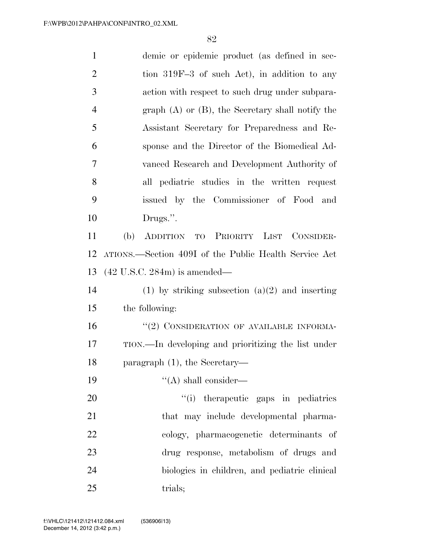| $\mathbf{1}$   | demic or epidemic product (as defined in sec-         |
|----------------|-------------------------------------------------------|
| $\overline{2}$ | tion 319F-3 of such Act), in addition to any          |
| 3              | action with respect to such drug under subpara-       |
| $\overline{4}$ | graph $(A)$ or $(B)$ , the Secretary shall notify the |
| 5              | Assistant Secretary for Preparedness and Re-          |
| 6              | sponse and the Director of the Biomedical Ad-         |
| 7              | vanced Research and Development Authority of          |
| 8              | all pediatric studies in the written request          |
| 9              | issued by the Commissioner of Food and                |
| 10             | Drugs.".                                              |
| 11             | (b)<br>ADDITION TO PRIORITY LIST CONSIDER-            |
| 12             | ATIONS.—Section 409I of the Public Health Service Act |
| 13             | $(42 \text{ U.S.C. } 284\text{m})$ is amended—        |
| 14             | (1) by striking subsection $(a)(2)$ and inserting     |
| 15             | the following:                                        |
| 16             | "(2) CONSIDERATION OF AVAILABLE INFORMA-              |
| 17             | TION.—In developing and prioritizing the list under   |
| 18             | paragraph $(1)$ , the Secretary-                      |
| 19             | $\lq\lq$ shall consider—                              |
| 20             | "(i) therapeutic gaps in pediatrics                   |
| 21             | that may include developmental pharma-                |
| 22             | cology, pharmacogenetic determinants of               |
| 23             | drug response, metabolism of drugs and                |
| 24             | biologies in children, and pediatric clinical         |
| 25             | trials;                                               |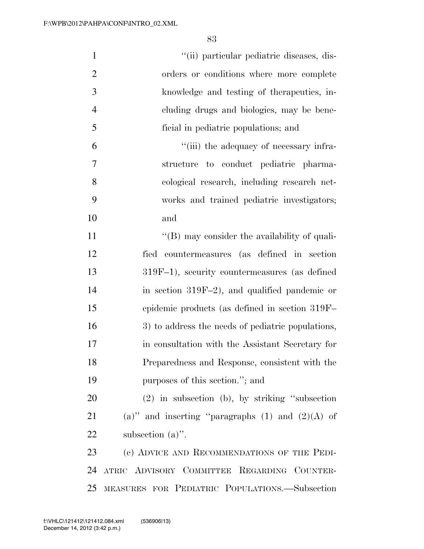| $\mathbf{1}$   | "(ii) particular pediatric diseases, dis-            |
|----------------|------------------------------------------------------|
| $\overline{2}$ | orders or conditions where more complete             |
| $\mathfrak{Z}$ | knowledge and testing of the rapeutics, in-          |
| $\overline{4}$ | cluding drugs and biologics, may be bene-            |
| 5              | ficial in pediatric populations; and                 |
| 6              | "(iii) the adequacy of necessary infra-              |
| 7              | structure to conduct pediatric pharma-               |
| 8              | cological research, including research net-          |
| 9              | works and trained pediatric investigators;           |
| 10             | and                                                  |
| 11             | $\lq\lq$ (B) may consider the availability of quali- |
| 12             | fied countermeasures (as defined in section          |
| 13             | 319F-1), security countermeasures (as defined        |
| 14             | in section 319F-2), and qualified pandemic or        |
| 15             | epidemic products (as defined in section 319F-       |
| 16             | 3) to address the needs of pediatric populations,    |
| 17             | in consultation with the Assistant Secretary for     |
| 18             | Preparedness and Response, consistent with the       |
| 19             | purposes of this section."; and                      |
| 20             | $(2)$ in subsection (b), by striking "subsection     |
| 21             | (a)" and inserting "paragraphs $(1)$ and $(2)(A)$ of |
| 22             | subsection $(a)$ ".                                  |
| 23             | (c) ADVICE AND RECOMMENDATIONS OF THE PEDI-          |
| 24             | ATRIC ADVISORY COMMITTEE REGARDING COUNTER-          |
|                | 25 MEASURES FOR PEDIATRIC POPULATIONS.-Subsection    |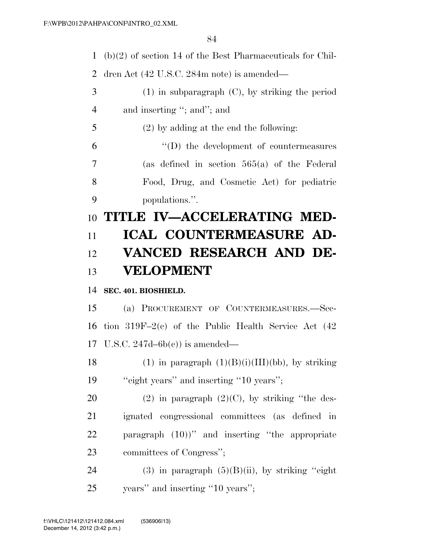(b)(2) of section 14 of the Best Pharmaceuticals for Chil-

dren Act (42 U.S.C. 284m note) is amended—

- (1) in subparagraph (C), by striking the period 4 and inserting "; and"; and
- (2) by adding at the end the following:

 ''(D) the development of countermeasures (as defined in section 565(a) of the Federal Food, Drug, and Cosmetic Act) for pediatric populations.''.

## **TITLE IV—ACCELERATING MED- ICAL COUNTERMEASURE AD- VANCED RESEARCH AND DE-VELOPMENT**

## **SEC. 401. BIOSHIELD.**

 (a) PROCUREMENT OF COUNTERMEASURES.—Sec- tion 319F–2(c) of the Public Health Service Act (42 U.S.C. 247d–6b(c)) is amended—

18 (1) in paragraph  $(1)(B)(i)(III)(bb)$ , by striking 19 "eight years" and inserting "10 years";

20 (2) in paragraph  $(2)(C)$ , by striking "the des- ignated congressional committees (as defined in paragraph (10))'' and inserting ''the appropriate committees of Congress'';

24 (3) in paragraph  $(5)(B)(ii)$ , by striking "eight" years'' and inserting ''10 years'';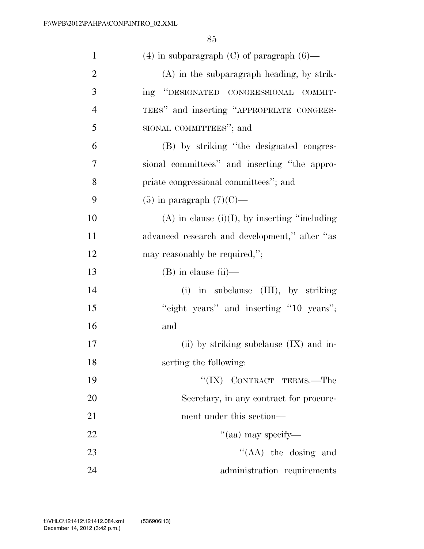| $\mathbf{1}$   | $(4)$ in subparagraph $(C)$ of paragraph $(6)$ —    |
|----------------|-----------------------------------------------------|
| $\overline{2}$ | $(A)$ in the subparagraph heading, by strik-        |
| 3              | ing "DESIGNATED CONGRESSIONAL COMMIT-               |
| $\overline{4}$ | TEES" and inserting "APPROPRIATE CONGRES-           |
| 5              | SIONAL COMMITTEES"; and                             |
| 6              | (B) by striking "the designated congres-            |
| 7              | sional committees" and inserting "the appro-        |
| 8              | priate congressional committees"; and               |
| 9              | $(5)$ in paragraph $(7)(C)$ —                       |
| 10             | $(A)$ in clause $(i)(I)$ , by inserting "including" |
| 11             | advanced research and development," after "as       |
| 12             | may reasonably be required,";                       |
| 13             | $(B)$ in clause $(ii)$ —                            |
| 14             | (i) in subclause (III), by striking                 |
| 15             | "eight years" and inserting "10 years";             |
| 16             | and                                                 |
| 17             | (ii) by striking subclause $(IX)$ and in-           |
| 18             | serting the following:                              |
| 19             | "(IX) CONTRACT TERMS.—The                           |
| 20             | Secretary, in any contract for procure-             |
| 21             | ment under this section—                            |
| 22             | "(aa) may specify—                                  |
| 23             | $\lq\lq$ (AA) the dosing and                        |
| 24             | administration requirements                         |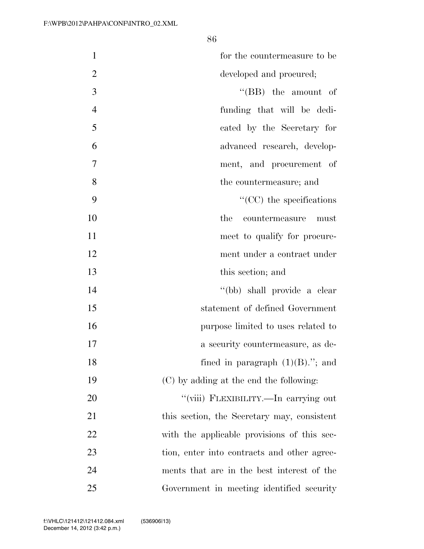| $\mathbf{1}$   | for the countermeasure to be                |
|----------------|---------------------------------------------|
| $\overline{2}$ | developed and procured;                     |
| 3              | $``$ (BB) the amount of                     |
| $\overline{4}$ | funding that will be dedi-                  |
| 5              | cated by the Secretary for                  |
| 6              | advanced research, develop-                 |
| 7              | ment, and procurement of                    |
| 8              | the countermeasure; and                     |
| 9              | $\lq\lq$ (CC) the specifications            |
| 10             | countermeasure<br>the<br>must               |
| 11             | meet to qualify for procure-                |
| 12             | ment under a contract under                 |
| 13             | this section; and                           |
| 14             | "(bb) shall provide a clear                 |
| 15             | statement of defined Government             |
| 16             | purpose limited to uses related to          |
| 17             | a security countermeasure, as de-           |
| 18             | fined in paragraph $(1)(B)$ ."; and         |
| 19             | (C) by adding at the end the following:     |
| 20             | "(viii) FLEXIBILITY.—In carrying out        |
| 21             | this section, the Secretary may, consistent |
| 22             | with the applicable provisions of this sec- |
| 23             | tion, enter into contracts and other agree- |
| 24             | ments that are in the best interest of the  |
| 25             | Government in meeting identified security   |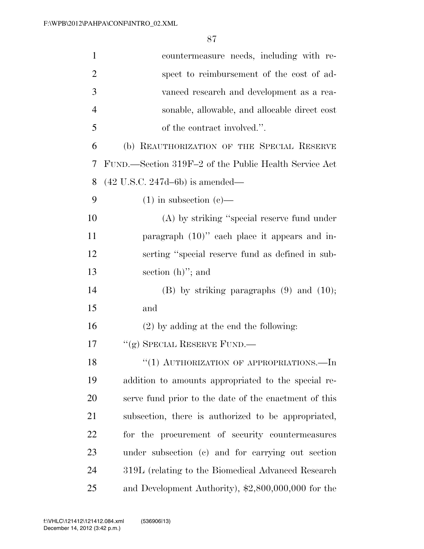| $\mathbf{1}$   | countermeasure needs, including with re-              |
|----------------|-------------------------------------------------------|
| $\overline{2}$ | spect to reimbursement of the cost of ad-             |
| 3              | vanced research and development as a rea-             |
| 4              | sonable, allowable, and allocable direct cost         |
| 5              | of the contract involved.".                           |
| 6              | (b) REAUTHORIZATION OF THE SPECIAL RESERVE            |
| 7              | FUND.—Section 319F-2 of the Public Health Service Act |
| 8              | $(42 \text{ U.S.C. } 247d - 6b)$ is amended—          |
| 9              | $(1)$ in subsection $(e)$ —                           |
| 10             | $(A)$ by striking "special reserve fund under         |
| 11             | paragraph $(10)$ " each place it appears and in-      |
| 12             | serting "special reserve fund as defined in sub-      |
| 13             | section $(h)$ "; and                                  |
| 14             | $(B)$ by striking paragraphs $(9)$ and $(10)$ ;       |
| 15             | and                                                   |
| 16             | $(2)$ by adding at the end the following:             |
| 17             | "(g) SPECIAL RESERVE FUND.—                           |
| 18             | "(1) AUTHORIZATION OF APPROPRIATIONS.—In              |
| 19             | addition to amounts appropriated to the special re-   |
| 20             | serve fund prior to the date of the enactment of this |
| 21             | subsection, there is authorized to be appropriated,   |
| <u>22</u>      | for the procurement of security countermeasures       |
| 23             | under subsection (c) and for carrying out section     |
| 24             | 319L (relating to the Biomedical Advanced Research    |
| 25             | and Development Authority), \$2,800,000,000 for the   |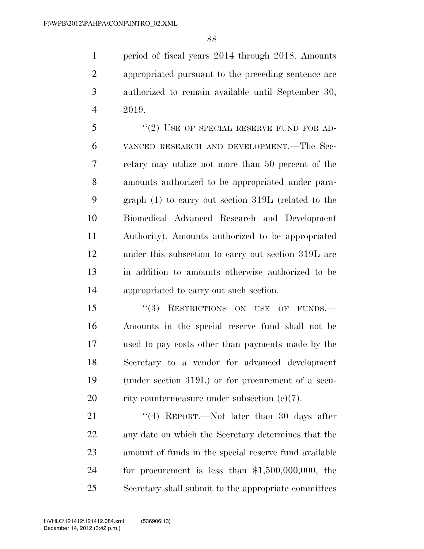period of fiscal years 2014 through 2018. Amounts appropriated pursuant to the preceding sentence are authorized to remain available until September 30, 2019.

5 "(2) USE OF SPECIAL RESERVE FUND FOR AD- VANCED RESEARCH AND DEVELOPMENT.—The Sec- retary may utilize not more than 50 percent of the amounts authorized to be appropriated under para- graph (1) to carry out section 319L (related to the Biomedical Advanced Research and Development Authority). Amounts authorized to be appropriated under this subsection to carry out section 319L are in addition to amounts otherwise authorized to be appropriated to carry out such section.

15 "(3) RESTRICTIONS ON USE OF FUNDS.— Amounts in the special reserve fund shall not be used to pay costs other than payments made by the Secretary to a vendor for advanced development (under section 319L) or for procurement of a secu-20 rity countermeasure under subsection  $(e)(7)$ .

21 ''(4) REPORT.—Not later than 30 days after any date on which the Secretary determines that the amount of funds in the special reserve fund available for procurement is less than \$1,500,000,000, the Secretary shall submit to the appropriate committees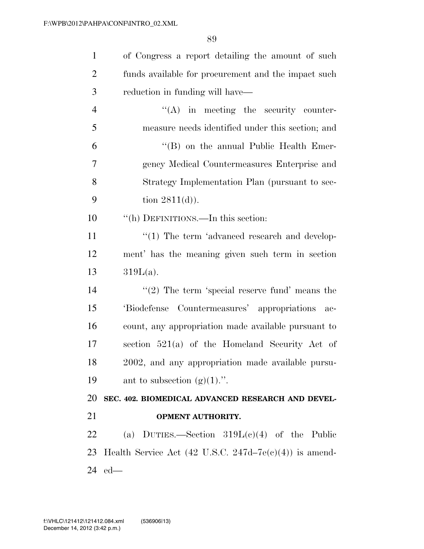| $\mathbf{1}$   | of Congress a report detailing the amount of such                    |
|----------------|----------------------------------------------------------------------|
| $\overline{2}$ | funds available for procurement and the impact such                  |
| 3              | reduction in funding will have—                                      |
| $\overline{4}$ | $\lq\lq$ in meeting the security counter-                            |
| 5              | measure needs identified under this section; and                     |
| 6              | "(B) on the annual Public Health Emer-                               |
| 7              | gency Medical Countermeasures Enterprise and                         |
| 8              | Strategy Implementation Plan (pursuant to sec-                       |
| 9              | tion $2811(d)$ ).                                                    |
| 10             | "(h) DEFINITIONS.—In this section:                                   |
| 11             | $\lq(1)$ The term 'advanced research and develop-                    |
| 12             | ment' has the meaning given such term in section                     |
| 13             | $319L(a)$ .                                                          |
| 14             | $\lq(2)$ The term 'special reserve fund' means the                   |
| 15             | 'Biodefense Countermeasures' appropriations ac-                      |
| 16             | count, any appropriation made available pursuant to                  |
| 17             | section $521(a)$ of the Homeland Security Act of                     |
| 18             | 2002, and any appropriation made available pursu-                    |
| 19             | ant to subsection $(g)(1)$ .".                                       |
| 20             | SEC. 402. BIOMEDICAL ADVANCED RESEARCH AND DEVEL-                    |
| 21             | <b>OPMENT AUTHORITY.</b>                                             |
| 22             | (a) DUTIES.—Section $319L(c)(4)$ of the Public                       |
|                | 23 Health Service Act $(42 \text{ U.S.C. } 247d-7e(c)(4))$ is amend- |
|                | 24 ed—                                                               |
|                |                                                                      |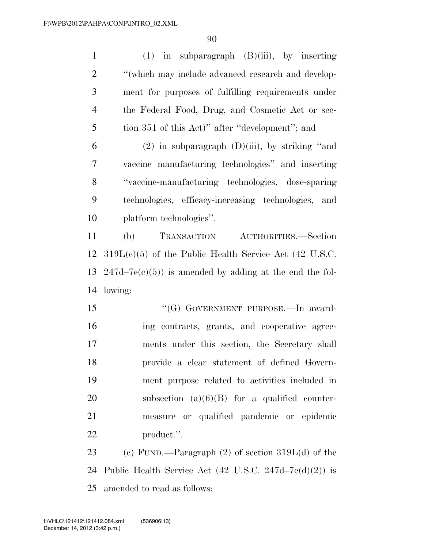| $\mathbf{1}$   | $(1)$ in subparagraph $(B)(iii)$ , by inserting                   |
|----------------|-------------------------------------------------------------------|
| $\overline{2}$ | "(which may include advanced research and develop-                |
| 3              | ment for purposes of fulfilling requirements under                |
| $\overline{4}$ | the Federal Food, Drug, and Cosmetic Act or sec-                  |
| 5              | tion 351 of this Act)" after "development"; and                   |
| 6              | $(2)$ in subparagraph $(D)(iii)$ , by striking "and               |
| $\overline{7}$ | vaccine manufacturing technologies" and inserting                 |
| 8              | "vaccine-manufacturing technologies, dose-sparing                 |
| 9              | technologies, efficacy-increasing technologies, and               |
| 10             | platform technologies".                                           |
| 11             | <b>TRANSACTION</b><br>(b)<br>AUTHORITIES.-Section                 |
| 12             | $319L(e)(5)$ of the Public Health Service Act (42 U.S.C.          |
| 13             | $247d-7e(c)(5)$ is amended by adding at the end the fol-          |
| 14             | lowing:                                                           |
| 15             | "(G) GOVERNMENT PURPOSE.—In award-                                |
| 16             | ing contracts, grants, and cooperative agree-                     |
| 17             | ments under this section, the Secretary shall                     |
| 18             | provide a clear statement of defined Govern-                      |
| 19             | ment purpose related to activities included in                    |
| 20             | subsection $(a)(6)(B)$ for a qualified counter-                   |
| 21             | measure or qualified pandemic or epidemic                         |
| 22             | product.".                                                        |
| 23             | (c) FUND.—Paragraph $(2)$ of section $319L(d)$ of the             |
| 24             | Public Health Service Act $(42 \text{ U.S.C. } 247d-7e(d)(2))$ is |
| 25             | amended to read as follows:                                       |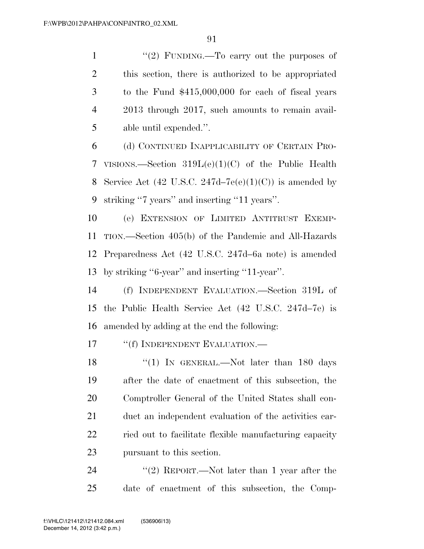$\frac{1}{2}$  FUNDING. To carry out the purposes of this section, there is authorized to be appropriated to the Fund \$415,000,000 for each of fiscal years 2013 through 2017, such amounts to remain avail-able until expended.''.

 (d) CONTINUED INAPPLICABILITY OF CERTAIN PRO- VISIONS.—Section 319L(e)(1)(C) of the Public Health 8 Service Act (42 U.S.C. 247d–7 $e(e)(1)(C)$ ) is amended by striking ''7 years'' and inserting ''11 years''.

 (e) EXTENSION OF LIMITED ANTITRUST EXEMP- TION.—Section 405(b) of the Pandemic and All-Hazards Preparedness Act (42 U.S.C. 247d–6a note) is amended by striking ''6-year'' and inserting ''11-year''.

 (f) INDEPENDENT EVALUATION.—Section 319L of the Public Health Service Act (42 U.S.C. 247d–7e) is amended by adding at the end the following:

17 <sup>"</sup>(f) INDEPENDENT EVALUATION.—

18 "(1) In GENERAL.—Not later than 180 days after the date of enactment of this subsection, the Comptroller General of the United States shall con- duct an independent evaluation of the activities car- ried out to facilitate flexible manufacturing capacity pursuant to this section.

24 ''(2) REPORT.—Not later than 1 year after the date of enactment of this subsection, the Comp-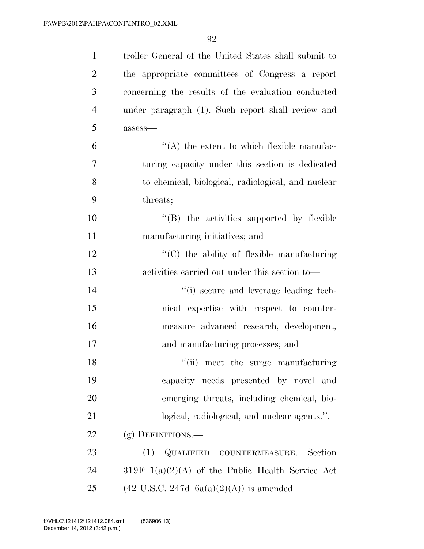| $\mathbf{1}$   | troller General of the United States shall submit to  |
|----------------|-------------------------------------------------------|
| $\overline{2}$ | the appropriate committees of Congress a report       |
| 3              | concerning the results of the evaluation conducted    |
| $\overline{4}$ | under paragraph (1). Such report shall review and     |
| 5              | $assess$ —                                            |
| 6              | $\lq\lq$ the extent to which flexible manufac-        |
| 7              | turing capacity under this section is dedicated       |
| 8              | to chemical, biological, radiological, and nuclear    |
| 9              | threats;                                              |
| 10             | "(B) the activities supported by flexible             |
| 11             | manufacturing initiatives; and                        |
| 12             | $\lq\lq$ (C) the ability of flexible manufacturing    |
| 13             | activities carried out under this section to-         |
| 14             | "(i) secure and leverage leading tech-                |
| 15             | nical expertise with respect to counter-              |
| 16             | measure advanced research, development,               |
| 17             | and manufacturing processes; and                      |
| 18             | "(ii) meet the surge manufacturing                    |
| 19             | capacity needs presented by novel and                 |
| 20             | emerging threats, including chemical, bio-            |
| 21             | logical, radiological, and nuclear agents.".          |
| 22             | (g) DEFINITIONS.-                                     |
| 23             | QUALIFIED COUNTERMEASURE.—Section<br>(1)              |
| 24             | $319F-1(a)(2)(A)$ of the Public Health Service Act    |
| 25             | $(42 \text{ U.S.C. } 247d - 6a(a)(2)(A))$ is amended— |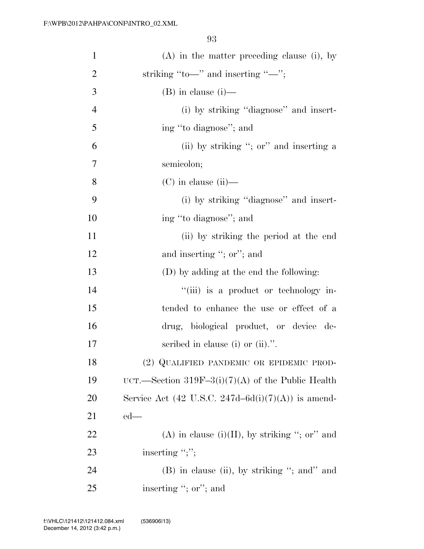| $\mathbf{1}$   | $(A)$ in the matter preceding clause (i), by       |
|----------------|----------------------------------------------------|
| $\overline{2}$ | striking "to—" and inserting "—";                  |
| 3              | $(B)$ in clause $(i)$ —                            |
| $\overline{4}$ | (i) by striking "diagnose" and insert-             |
| 5              | ing "to diagnose"; and                             |
| 6              | (ii) by striking "; or" and inserting a            |
| 7              | semicolon;                                         |
| 8              | $(C)$ in clause (ii)—                              |
| 9              | (i) by striking "diagnose" and insert-             |
| 10             | ing "to diagnose"; and                             |
| 11             | (ii) by striking the period at the end             |
| 12             | and inserting "; or"; and                          |
| 13             | (D) by adding at the end the following:            |
| 14             | "(iii) is a product or technology in-              |
| 15             | tended to enhance the use or effect of a           |
| 16             | drug, biological product, or device de-            |
| 17             | scribed in clause (i) or $(ii)$ .".                |
| 18             | (2) QUALIFIED PANDEMIC OR EPIDEMIC PROD-           |
| 19             | UCT.—Section 319F-3(i)(7)(A) of the Public Health  |
| <b>20</b>      | Service Act (42 U.S.C. 247d–6d(i)(7)(A)) is amend- |
| 21             | $ed$ —                                             |
| 22             | (A) in clause (i)(II), by striking "; or" and      |
| 23             | inserting ";";                                     |
| 24             | (B) in clause (ii), by striking "; and" and        |
| 25             | inserting "; or"; and                              |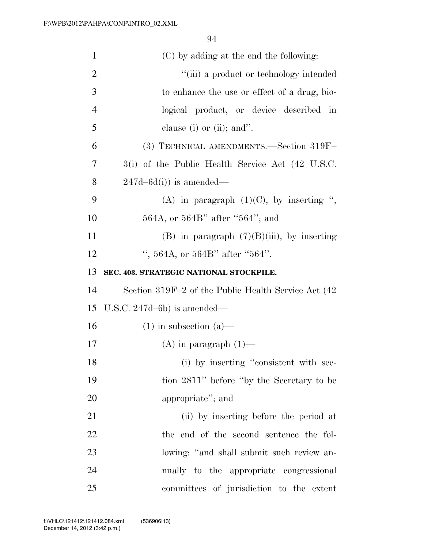| $\mathbf{1}$   | (C) by adding at the end the following:              |
|----------------|------------------------------------------------------|
| $\overline{2}$ | "(iii) a product or technology intended              |
| 3              | to enhance the use or effect of a drug, bio-         |
| $\overline{4}$ | logical product, or device described in              |
| 5              | clause (i) or (ii); and".                            |
| 6              | (3) TECHNICAL AMENDMENTS.—Section 319F-              |
| 7              | 3(i) of the Public Health Service Act (42 U.S.C.     |
| 8              | $247d - 6d(i)$ is amended—                           |
| 9              | (A) in paragraph $(1)(C)$ , by inserting ",          |
| 10             | 564A, or 564B" after "564"; and                      |
| 11             | (B) in paragraph $(7)(B)(iii)$ , by inserting        |
| 12             | ", 564A, or 564B" after "564".                       |
| 13             | SEC. 403. STRATEGIC NATIONAL STOCKPILE.              |
| 14             | Section 319F-2 of the Public Health Service Act (42) |
| 15             | U.S.C. $247d-6b$ ) is amended—                       |
| 16             | $(1)$ in subsection $(a)$ —                          |
| 17             | $(A)$ in paragraph $(1)$ —                           |
| 18             | (i) by inserting "consistent with sec-               |
| 19             | tion 2811" before "by the Secretary to be            |
| 20             | appropriate"; and                                    |
| 21             | (ii) by inserting before the period at               |
| 22             | the end of the second sentence the fol-              |
| 23             | lowing: "and shall submit such review an-            |
| 24             | nually to the appropriate congressional              |
| 25             | committees of jurisdiction to the extent             |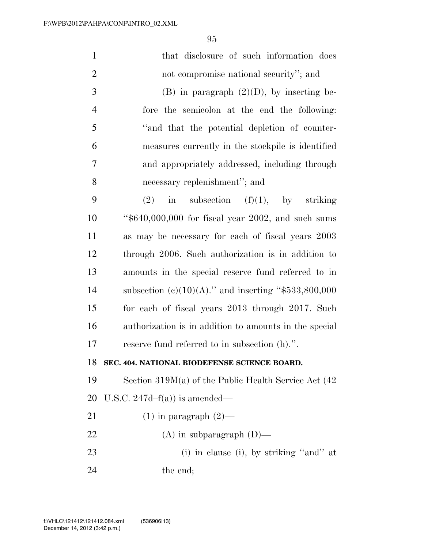| $\mathbf{1}$   | that disclosure of such information does                  |
|----------------|-----------------------------------------------------------|
| $\overline{2}$ | not compromise national security"; and                    |
| 3              | $(B)$ in paragraph $(2)(D)$ , by inserting be-            |
| $\overline{4}$ | fore the semicolon at the end the following:              |
| 5              | "and that the potential depletion of counter-             |
| 6              | measures currently in the stockpile is identified         |
| 7              | and appropriately addressed, including through            |
| 8              | necessary replenishment"; and                             |
| 9              | in subsection $(f)(1)$ , by striking<br>(2)               |
| 10             | " $$640,000,000$ for fiscal year 2002, and such sums      |
| 11             | as may be necessary for each of fiscal years 2003         |
| 12             | through 2006. Such authorization is in addition to        |
| 13             | amounts in the special reserve fund referred to in        |
| 14             | subsection (c)(10)(A)." and inserting "\$533,800,000      |
| 15             | for each of fiscal years 2013 through 2017. Such          |
| 16             | authorization is in addition to amounts in the special    |
| 17             | reserve fund referred to in subsection (h).".             |
| 18             | SEC. 404. NATIONAL BIODEFENSE SCIENCE BOARD.              |
| 19             | Section $319M(a)$ of the Public Health Service Act $(42)$ |
| 20             | U.S.C. 247d- $f(a)$ ) is amended—                         |
| 21             | $(1)$ in paragraph $(2)$ —                                |
| 22             | $(A)$ in subparagraph $(D)$ —                             |
| 23             | $(i)$ in clause $(i)$ , by striking "and" at              |
| 24             | the end;                                                  |